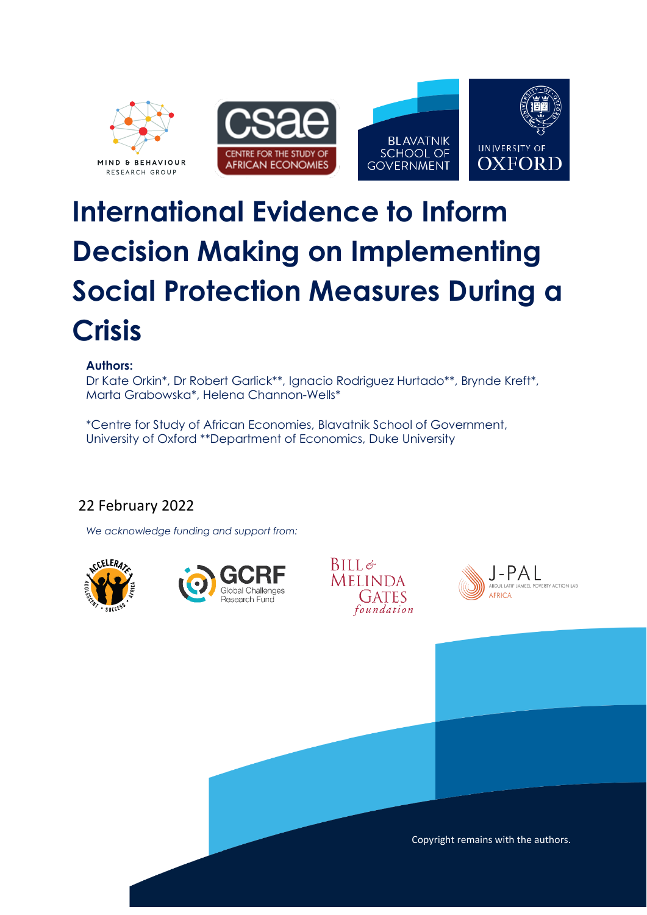

# **International Evidence to Inform Decision Making on Implementing Social Protection Measures During a Crisis**

#### **Authors:**

Dr Kate Orkin\*, Dr Robert Garlick\*\*, Ignacio Rodriguez Hurtado\*\*, Brynde Kreft\*, Marta Grabowska\*, Helena Channon-Wells\*

\*Centre for Study of African Economies, Blavatnik School of Government, University of Oxford \*\*Department of Economics, Duke University

## 22 February 2022

*We acknowledge funding and support from:*









Copyright remains with the authors.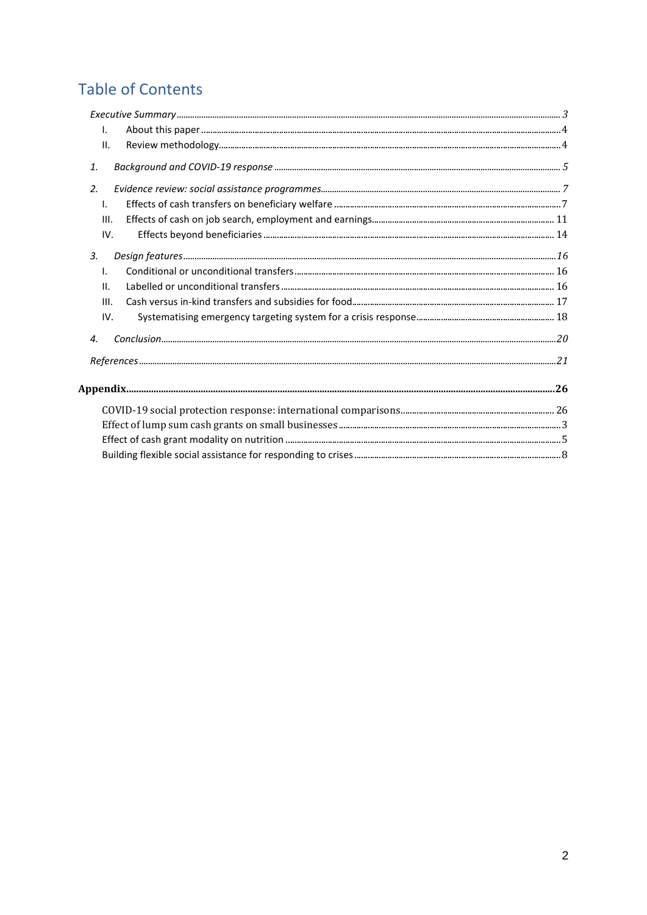## **Table of Contents**

| I.                                                                                                                                                                                                                                                                                                                                                                                                      |  |
|---------------------------------------------------------------------------------------------------------------------------------------------------------------------------------------------------------------------------------------------------------------------------------------------------------------------------------------------------------------------------------------------------------|--|
| II.                                                                                                                                                                                                                                                                                                                                                                                                     |  |
| 1.                                                                                                                                                                                                                                                                                                                                                                                                      |  |
| 2.                                                                                                                                                                                                                                                                                                                                                                                                      |  |
| $\mathbf{L}$                                                                                                                                                                                                                                                                                                                                                                                            |  |
| III.                                                                                                                                                                                                                                                                                                                                                                                                    |  |
| IV.                                                                                                                                                                                                                                                                                                                                                                                                     |  |
| $\label{eq:3} \textit{Design features} \textit{} \textit{} \textit{} \textit{} \textit{} \textit{} \textit{} \textit{} \textit{} \textit{} \textit{} \textit{} \textit{} \textit{} \textit{} \textit{} \textit{} \textit{} \textit{} \textit{} \textit{} \textit{} \textit{} \textit{} \textit{} \textit{} \textit{} \textit{} \textit{} \textit{} \textit{} \textit{} \textit{} \textit{} \text$<br>3. |  |
| I.                                                                                                                                                                                                                                                                                                                                                                                                      |  |
| II.                                                                                                                                                                                                                                                                                                                                                                                                     |  |
| III.                                                                                                                                                                                                                                                                                                                                                                                                    |  |
| IV.                                                                                                                                                                                                                                                                                                                                                                                                     |  |
| $\boldsymbol{4}$ .                                                                                                                                                                                                                                                                                                                                                                                      |  |
|                                                                                                                                                                                                                                                                                                                                                                                                         |  |
|                                                                                                                                                                                                                                                                                                                                                                                                         |  |
|                                                                                                                                                                                                                                                                                                                                                                                                         |  |
|                                                                                                                                                                                                                                                                                                                                                                                                         |  |
|                                                                                                                                                                                                                                                                                                                                                                                                         |  |
|                                                                                                                                                                                                                                                                                                                                                                                                         |  |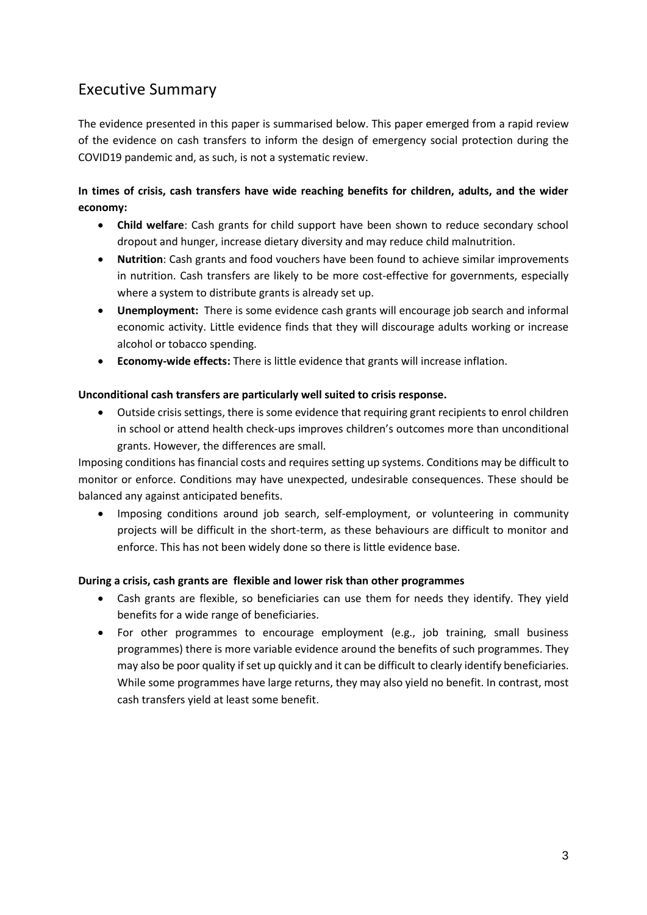## <span id="page-2-0"></span>Executive Summary

The evidence presented in this paper is summarised below. This paper emerged from a rapid review of the evidence on cash transfers to inform the design of emergency social protection during the COVID19 pandemic and, as such, is not a systematic review.

#### **In times of crisis, cash transfers have wide reaching benefits for children, adults, and the wider economy:**

- **Child welfare**: Cash grants for child support have been shown to reduce secondary school dropout and hunger, increase dietary diversity and may reduce child malnutrition.
- **Nutrition**: Cash grants and food vouchers have been found to achieve similar improvements in nutrition. Cash transfers are likely to be more cost-effective for governments, especially where a system to distribute grants is already set up.
- **Unemployment:** There is some evidence cash grants will encourage job search and informal economic activity. Little evidence finds that they will discourage adults working or increase alcohol or tobacco spending.
- **Economy-wide effects:** There is little evidence that grants will increase inflation.

#### **Unconditional cash transfers are particularly well suited to crisis response.**

• Outside crisis settings, there is some evidence that requiring grant recipients to enrol children in school or attend health check-ups improves children's outcomes more than unconditional grants. However, the differences are small.

Imposing conditions has financial costs and requires setting up systems. Conditions may be difficult to monitor or enforce. Conditions may have unexpected, undesirable consequences. These should be balanced any against anticipated benefits.

• Imposing conditions around job search, self-employment, or volunteering in community projects will be difficult in the short-term, as these behaviours are difficult to monitor and enforce. This has not been widely done so there is little evidence base.

#### **During a crisis, cash grants are flexible and lower risk than other programmes**

- Cash grants are flexible, so beneficiaries can use them for needs they identify. They yield benefits for a wide range of beneficiaries.
- For other programmes to encourage employment (e.g., job training, small business programmes) there is more variable evidence around the benefits of such programmes. They may also be poor quality if set up quickly and it can be difficult to clearly identify beneficiaries. While some programmes have large returns, they may also yield no benefit. In contrast, most cash transfers yield at least some benefit.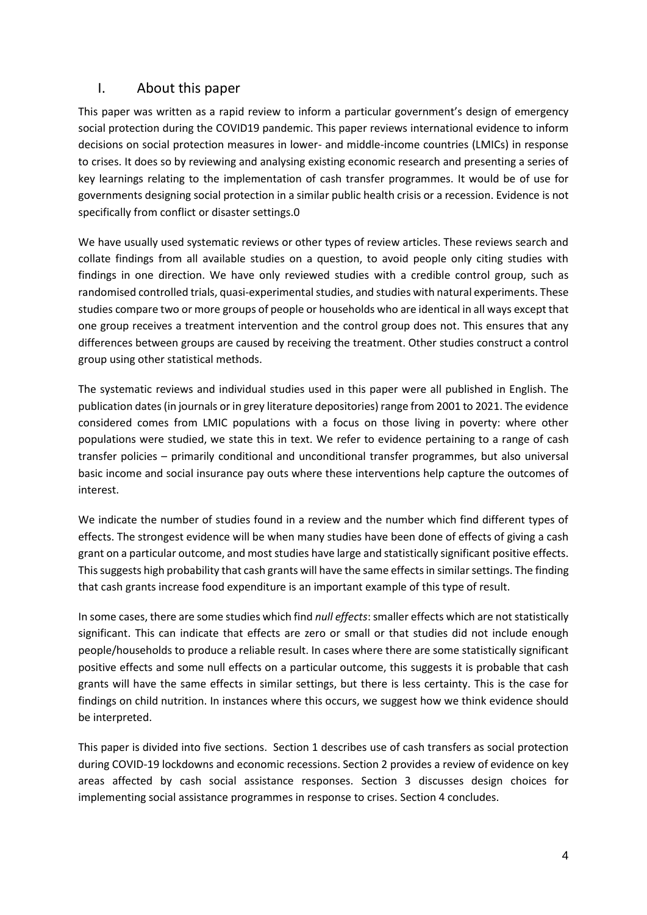#### <span id="page-3-1"></span><span id="page-3-0"></span>I. About this paper

This paper was written as a rapid review to inform a particular government's design of emergency social protection during the COVID19 pandemic. This paper reviews international evidence to inform decisions on social protection measures in lower- and middle-income countries (LMICs) in response to crises. It does so by reviewing and analysing existing economic research and presenting a series of key learnings relating to the implementation of cash transfer programmes. It would be of use for governments designing social protection in a similar public health crisis or a recession. Evidence is not specifically from conflict or disaster settings[.0](#page-3-1)

We have usually used systematic reviews or other types of review articles. These reviews search and collate findings from all available studies on a question, to avoid people only citing studies with findings in one direction. We have only reviewed studies with a credible control group, such as randomised controlled trials, quasi-experimental studies, and studies with natural experiments. These studies compare two or more groups of people or households who are identical in all ways except that one group receives a treatment intervention and the control group does not. This ensures that any differences between groups are caused by receiving the treatment. Other studies construct a control group using other statistical methods.

The systematic reviews and individual studies used in this paper were all published in English. The publication dates (in journals or in grey literature depositories) range from 2001 to 2021. The evidence considered comes from LMIC populations with a focus on those living in poverty: where other populations were studied, we state this in text. We refer to evidence pertaining to a range of cash transfer policies – primarily conditional and unconditional transfer programmes, but also universal basic income and social insurance pay outs where these interventions help capture the outcomes of interest.

We indicate the number of studies found in a review and the number which find different types of effects. The strongest evidence will be when many studies have been done of effects of giving a cash grant on a particular outcome, and most studies have large and statistically significant positive effects. This suggests high probability that cash grants will have the same effects in similar settings. The finding that cash grants increase food expenditure is an important example of this type of result.

In some cases, there are some studies which find *null effects*: smaller effects which are not statistically significant. This can indicate that effects are zero or small or that studies did not include enough people/households to produce a reliable result. In cases where there are some statistically significant positive effects and some null effects on a particular outcome, this suggests it is probable that cash grants will have the same effects in similar settings, but there is less certainty. This is the case for findings on child nutrition. In instances where this occurs, we suggest how we think evidence should be interpreted.

This paper is divided into five sections. Section 1 describes use of cash transfers as social protection during COVID-19 lockdowns and economic recessions. Section 2 provides a review of evidence on key areas affected by cash social assistance responses. Section 3 discusses design choices for implementing social assistance programmes in response to crises. Section 4 concludes.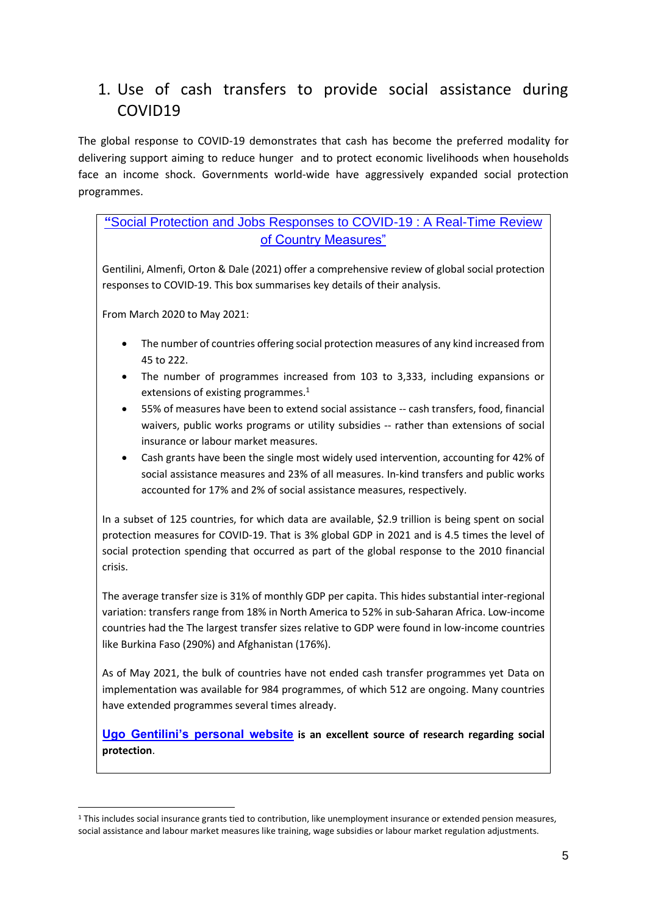## <span id="page-4-0"></span>1. Use of cash transfers to provide social assistance during COVID19

The global response to COVID-19 demonstrates that cash has become the preferred modality for delivering support aiming to reduce hunger and to protect economic livelihoods when households face an income shock. Governments world-wide have aggressively expanded social protection programmes.

#### **"**[Social Protection and Jobs Responses to COVID-19 : A Real-Time Review](https://openknowledge.worldbank.org/handle/10986/33635;)  [of Country Measures"](https://openknowledge.worldbank.org/handle/10986/33635;)

Gentilini, Almenfi, Orton & Dale (2021) offer a comprehensive review of global social protection responses to COVID-19. This box summarises key details of their analysis.

From March 2020 to May 2021:

- The number of countries offering social protection measures of any kind increased from 45 to 222.
- The number of programmes increased from 103 to 3,333, including expansions or extensions of existing programmes.<sup>1</sup>
- 55% of measures have been to extend social assistance -- cash transfers, food, financial waivers, public works programs or utility subsidies -- rather than extensions of social insurance or labour market measures.
- Cash grants have been the single most widely used intervention, accounting for 42% of social assistance measures and 23% of all measures. In-kind transfers and public works accounted for 17% and 2% of social assistance measures, respectively.

In a subset of 125 countries, for which data are available, \$2.9 trillion is being spent on social protection measures for COVID-19. That is 3% global GDP in 2021 and is 4.5 times the level of social protection spending that occurred as part of the global response to the 2010 financial crisis.

The average transfer size is 31% of monthly GDP per capita. This hides substantial inter-regional variation: transfers range from 18% in North America to 52% in sub-Saharan Africa. Low-income countries had the The largest transfer sizes relative to GDP were found in low-income countries like Burkina Faso (290%) and Afghanistan (176%).

As of May 2021, the bulk of countries have not ended cash transfer programmes yet Data on implementation was available for 984 programmes, of which 512 are ongoing. Many countries have extended programmes several times already.

**[Ugo Gentilini's personal website](https://www.ugogentilini.net/) is an excellent source of research regarding social protection**.

<sup>1</sup> This includes social insurance grants tied to contribution, like unemployment insurance or extended pension measures, social assistance and labour market measures like training, wage subsidies or labour market regulation adjustments.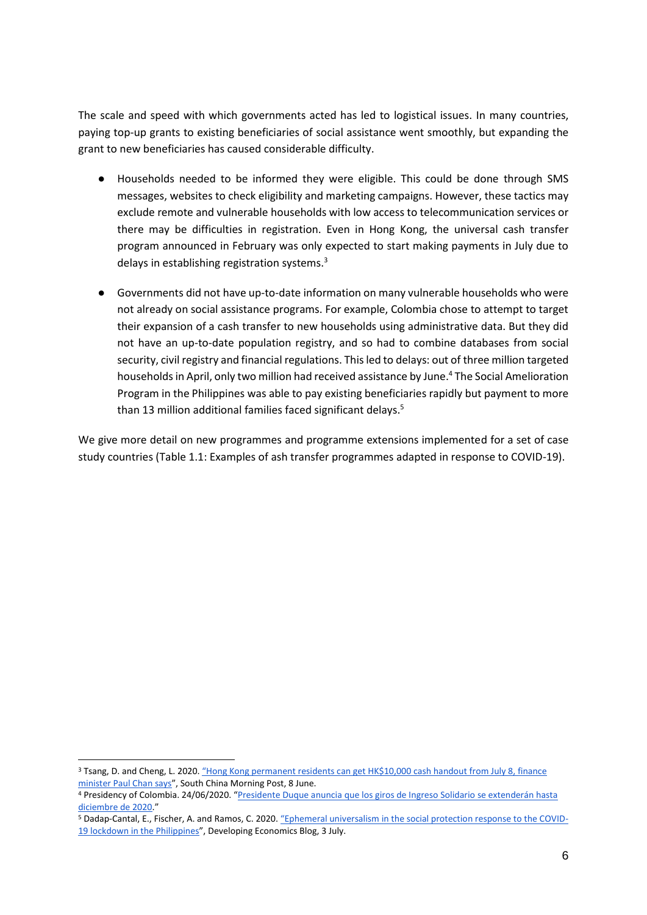The scale and speed with which governments acted has led to logistical issues. In many countries, paying top-up grants to existing beneficiaries of social assistance went smoothly, but expanding the grant to new beneficiaries has caused considerable difficulty.

- Households needed to be informed they were eligible. This could be done through SMS messages, websites to check eligibility and marketing campaigns. However, these tactics may exclude remote and vulnerable households with low access to telecommunication services or there may be difficulties in registration. Even in Hong Kong, the universal cash transfer program announced in February was only expected to start making payments in July due to delays in establishing registration systems.<sup>3</sup>
- Governments did not have up-to-date information on many vulnerable households who were not already on social assistance programs. For example, Colombia chose to attempt to target their expansion of a cash transfer to new households using administrative data. But they did not have an up-to-date population registry, and so had to combine databases from social security, civil registry and financial regulations. This led to delays: out of three million targeted households in April, only two million had received assistance by June.<sup>4</sup> The Social Amelioration Program in the Philippines was able to pay existing beneficiaries rapidly but payment to more than 13 million additional families faced significant delays.<sup>5</sup>

We give more detail on new programmes and programme extensions implemented for a set of case study countries [\(Table 1.1: Examples of ash transfer programmes adapted in response to COVID-19\)](#page-26-0).

<sup>&</sup>lt;sup>3</sup> Tsang, D. and Cheng, L. 2020. "Hong Kong permanent residents can get HK\$10,000 cash handout from July 8, finance [minister Paul Chan says](https://www.scmp.com/news/hong-kong/hong-kong-economy/article/3087965/hong-kong-permanent-residentscan-apply-hk10000)", South China Morning Post, 8 June.

<sup>4</sup> Presidency of Colombia. 24/06/2020. "[Presidente Duque anuncia que los giros de Ingreso Solidario se extenderán hasta](https://id.presidencia.gov.co/Paginas/prensa/2020/Presidente-Duque-anuncia-que-giros-de-Ingreso-Solidario-se-extenderan-hasta-diciembre-de-2020-200624.aspx)  [diciembre de 2020](https://id.presidencia.gov.co/Paginas/prensa/2020/Presidente-Duque-anuncia-que-giros-de-Ingreso-Solidario-se-extenderan-hasta-diciembre-de-2020-200624.aspx)."

<sup>5</sup> Dadap-Cantal, E., Fischer, A. and Ramos, C. 2020. ["Ephemeral universalism in the social protection response to the COVID](https://developingeconomics.org/2020/07/03/ephemeral-universalism-in-the-social-protection-response-to-the-covid-19-lockdown-in-the-philippines)-[19 lockdown in the Philippines](https://developingeconomics.org/2020/07/03/ephemeral-universalism-in-the-social-protection-response-to-the-covid-19-lockdown-in-the-philippines)", Developing Economics Blog, 3 July.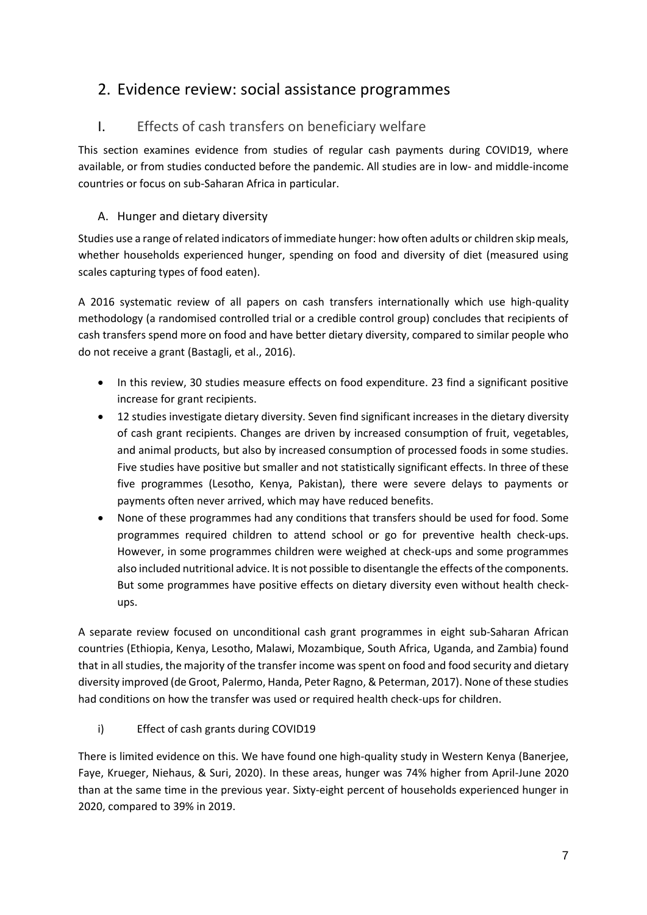## <span id="page-6-0"></span>2. Evidence review: social assistance programmes

## <span id="page-6-1"></span>I. Effects of cash transfers on beneficiary welfare

This section examines evidence from studies of regular cash payments during COVID19, where available, or from studies conducted before the pandemic. All studies are in low- and middle-income countries or focus on sub-Saharan Africa in particular.

#### A. Hunger and dietary diversity

Studies use a range of related indicators of immediate hunger: how often adults or children skip meals, whether households experienced hunger, spending on food and diversity of diet (measured using scales capturing types of food eaten).

A 2016 systematic review of all papers on cash transfers internationally which use high-quality methodology (a randomised controlled trial or a credible control group) concludes that recipients of cash transfers spend more on food and have better dietary diversity, compared to similar people who do not receive a grant (Bastagli, et al., 2016).

- In this review, 30 studies measure effects on food expenditure. 23 find a significant positive increase for grant recipients.
- 12 studies investigate dietary diversity. Seven find significant increases in the dietary diversity of cash grant recipients. Changes are driven by increased consumption of fruit, vegetables, and animal products, but also by increased consumption of processed foods in some studies. Five studies have positive but smaller and not statistically significant effects. In three of these five programmes (Lesotho, Kenya, Pakistan), there were severe delays to payments or payments often never arrived, which may have reduced benefits.
- None of these programmes had any conditions that transfers should be used for food. Some programmes required children to attend school or go for preventive health check-ups. However, in some programmes children were weighed at check-ups and some programmes also included nutritional advice. It is not possible to disentangle the effects of the components. But some programmes have positive effects on dietary diversity even without health checkups.

A separate review focused on unconditional cash grant programmes in eight sub-Saharan African countries (Ethiopia, Kenya, Lesotho, Malawi, Mozambique, South Africa, Uganda, and Zambia) found that in all studies, the majority of the transfer income was spent on food and food security and dietary diversity improved (de Groot, Palermo, Handa, Peter Ragno, & Peterman, 2017). None of these studies had conditions on how the transfer was used or required health check-ups for children.

i) Effect of cash grants during COVID19

There is limited evidence on this. We have found one high-quality study in Western Kenya (Banerjee, Faye, Krueger, Niehaus, & Suri, 2020). In these areas, hunger was 74% higher from April-June 2020 than at the same time in the previous year. Sixty-eight percent of households experienced hunger in 2020, compared to 39% in 2019.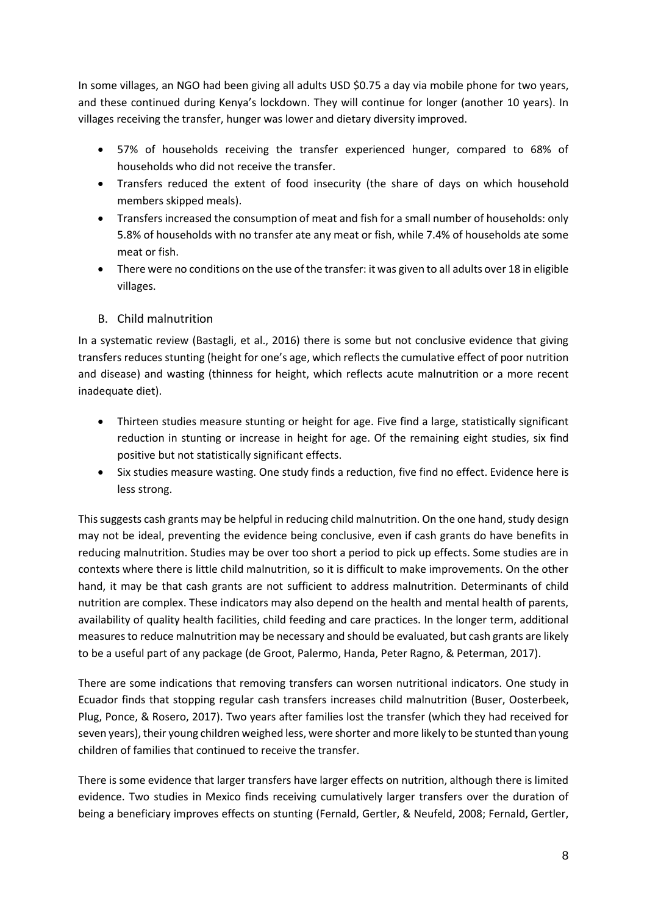In some villages, an NGO had been giving all adults USD \$0.75 a day via mobile phone for two years, and these continued during Kenya's lockdown. They will continue for longer (another 10 years). In villages receiving the transfer, hunger was lower and dietary diversity improved.

- 57% of households receiving the transfer experienced hunger, compared to 68% of households who did not receive the transfer.
- Transfers reduced the extent of food insecurity (the share of days on which household members skipped meals).
- Transfers increased the consumption of meat and fish for a small number of households: only 5.8% of households with no transfer ate any meat or fish, while 7.4% of households ate some meat or fish.
- There were no conditions on the use of the transfer: it was given to all adults over 18 in eligible villages.

#### B. Child malnutrition

In a systematic review (Bastagli, et al., 2016) there is some but not conclusive evidence that giving transfers reduces stunting (height for one's age, which reflects the cumulative effect of poor nutrition and disease) and wasting (thinness for height, which reflects acute malnutrition or a more recent inadequate diet).

- Thirteen studies measure stunting or height for age. Five find a large, statistically significant reduction in stunting or increase in height for age. Of the remaining eight studies, six find positive but not statistically significant effects.
- Six studies measure wasting. One study finds a reduction, five find no effect. Evidence here is less strong.

This suggests cash grants may be helpful in reducing child malnutrition. On the one hand, study design may not be ideal, preventing the evidence being conclusive, even if cash grants do have benefits in reducing malnutrition. Studies may be over too short a period to pick up effects. Some studies are in contexts where there is little child malnutrition, so it is difficult to make improvements. On the other hand, it may be that cash grants are not sufficient to address malnutrition. Determinants of child nutrition are complex. These indicators may also depend on the health and mental health of parents, availability of quality health facilities, child feeding and care practices. In the longer term, additional measures to reduce malnutrition may be necessary and should be evaluated, but cash grants are likely to be a useful part of any package (de Groot, Palermo, Handa, Peter Ragno, & Peterman, 2017).

There are some indications that removing transfers can worsen nutritional indicators. One study in Ecuador finds that stopping regular cash transfers increases child malnutrition (Buser, Oosterbeek, Plug, Ponce, & Rosero, 2017). Two years after families lost the transfer (which they had received for seven years), their young children weighed less, were shorter and more likely to be stunted than young children of families that continued to receive the transfer.

There is some evidence that larger transfers have larger effects on nutrition, although there is limited evidence. Two studies in Mexico finds receiving cumulatively larger transfers over the duration of being a beneficiary improves effects on stunting (Fernald, Gertler, & Neufeld, 2008; Fernald, Gertler,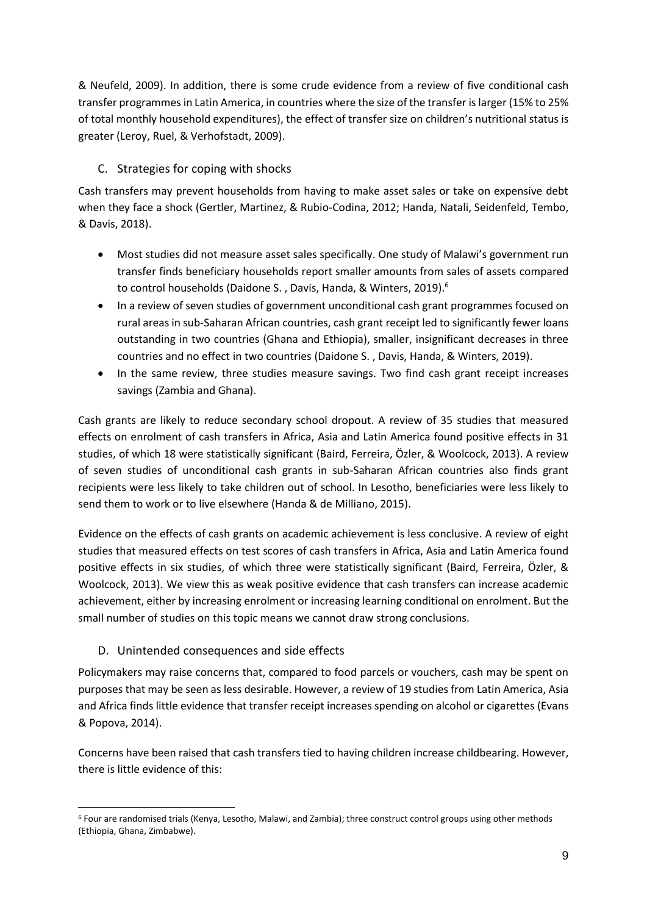& Neufeld, 2009). In addition, there is some crude evidence from a review of five conditional cash transfer programmes in Latin America, in countries where the size of the transfer is larger (15% to 25% of total monthly household expenditures), the effect of transfer size on children's nutritional status is greater (Leroy, Ruel, & Verhofstadt, 2009).

#### C. Strategies for coping with shocks

Cash transfers may prevent households from having to make asset sales or take on expensive debt when they face a shock (Gertler, Martinez, & Rubio-Codina, 2012; Handa, Natali, Seidenfeld, Tembo, & Davis, 2018).

- Most studies did not measure asset sales specifically. One study of Malawi's government run transfer finds beneficiary households report smaller amounts from sales of assets compared to control households (Daidone S., Davis, Handa, & Winters, 2019).<sup>6</sup>
- In a review of seven studies of government unconditional cash grant programmes focused on rural areas in sub-Saharan African countries, cash grant receipt led to significantly fewer loans outstanding in two countries (Ghana and Ethiopia), smaller, insignificant decreases in three countries and no effect in two countries (Daidone S. , Davis, Handa, & Winters, 2019).
- In the same review, three studies measure savings. Two find cash grant receipt increases savings (Zambia and Ghana).

Cash grants are likely to reduce secondary school dropout. A review of 35 studies that measured effects on enrolment of cash transfers in Africa, Asia and Latin America found positive effects in 31 studies, of which 18 were statistically significant (Baird, Ferreira, Özler, & Woolcock, 2013). A review of seven studies of unconditional cash grants in sub-Saharan African countries also finds grant recipients were less likely to take children out of school. In Lesotho, beneficiaries were less likely to send them to work or to live elsewhere (Handa & de Milliano, 2015).

Evidence on the effects of cash grants on academic achievement is less conclusive. A review of eight studies that measured effects on test scores of cash transfers in Africa, Asia and Latin America found positive effects in six studies, of which three were statistically significant (Baird, Ferreira, Özler, & Woolcock, 2013). We view this as weak positive evidence that cash transfers can increase academic achievement, either by increasing enrolment or increasing learning conditional on enrolment. But the small number of studies on this topic means we cannot draw strong conclusions.

#### D. Unintended consequences and side effects

Policymakers may raise concerns that, compared to food parcels or vouchers, cash may be spent on purposes that may be seen as less desirable. However, a review of 19 studies from Latin America, Asia and Africa finds little evidence that transfer receipt increases spending on alcohol or cigarettes (Evans & Popova, 2014).

Concerns have been raised that cash transfers tied to having children increase childbearing. However, there is little evidence of this:

<sup>6</sup> Four are randomised trials (Kenya, Lesotho, Malawi, and Zambia); three construct control groups using other methods (Ethiopia, Ghana, Zimbabwe).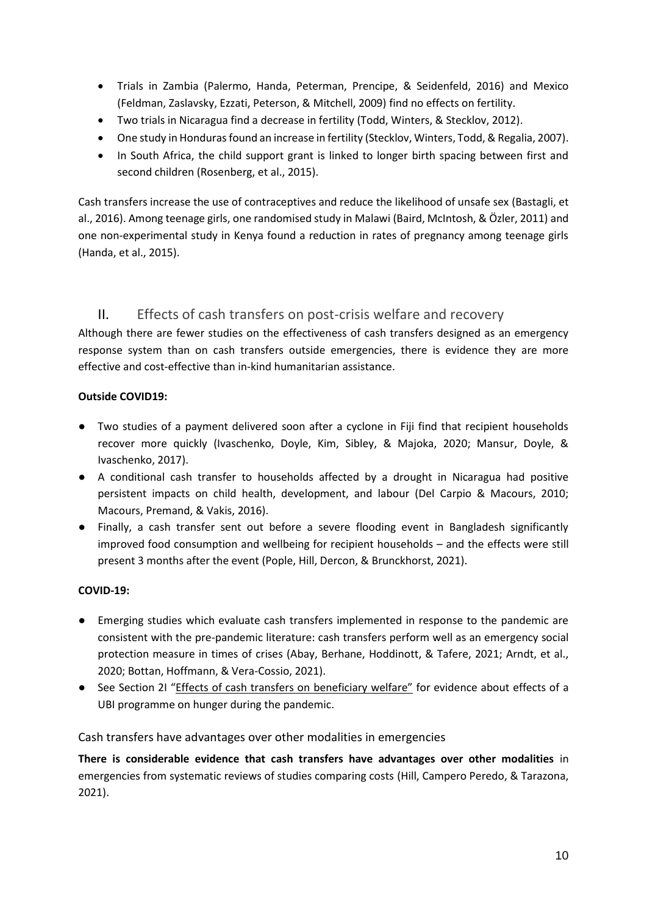- Trials in Zambia (Palermo, Handa, Peterman, Prencipe, & Seidenfeld, 2016) and Mexico (Feldman, Zaslavsky, Ezzati, Peterson, & Mitchell, 2009) find no effects on fertility.
- Two trials in Nicaragua find a decrease in fertility (Todd, Winters, & Stecklov, 2012).
- One study in Honduras found an increase in fertility (Stecklov, Winters, Todd, & Regalia, 2007).
- In South Africa, the child support grant is linked to longer birth spacing between first and second children (Rosenberg, et al., 2015).

Cash transfers increase the use of contraceptives and reduce the likelihood of unsafe sex (Bastagli, et al., 2016). Among teenage girls, one randomised study in Malawi (Baird, McIntosh, & Özler, 2011) and one non-experimental study in Kenya found a reduction in rates of pregnancy among teenage girls (Handa, et al., 2015).

#### II. Effects of cash transfers on post-crisis welfare and recovery

Although there are fewer studies on the effectiveness of cash transfers designed as an emergency response system than on cash transfers outside emergencies, there is evidence they are more effective and cost-effective than in-kind humanitarian assistance.

#### **Outside COVID19:**

- Two studies of a payment delivered soon after a cyclone in Fiji find that recipient households recover more quickly (Ivaschenko, Doyle, Kim, Sibley, & Majoka, 2020; Mansur, Doyle, & Ivaschenko, 2017).
- A conditional cash transfer to households affected by a drought in Nicaragua had positive persistent impacts on child health, development, and labour (Del Carpio & Macours, 2010; Macours, Premand, & Vakis, 2016).
- Finally, a cash transfer sent out before a severe flooding event in Bangladesh significantly improved food consumption and wellbeing for recipient households – and the effects were still present 3 months after the event (Pople, Hill, Dercon, & Brunckhorst, 2021).

#### **COVID-19:**

- Emerging studies which evaluate cash transfers implemented in response to the pandemic are consistent with the pre-pandemic literature: cash transfers perform well as an emergency social protection measure in times of crises (Abay, Berhane, Hoddinott, & Tafere, 2021; Arndt, et al., 2020; Bottan, Hoffmann, & Vera-Cossio, 2021).
- See Section [2I](#page-6-1) "[Effects of cash transfers on](#page-6-1) beneficiary welfare" for evidence about effects of a UBI programme on hunger during the pandemic.

#### Cash transfers have advantages over other modalities in emergencies

**There is considerable evidence that cash transfers have advantages over other modalities** in emergencies from systematic reviews of studies comparing costs (Hill, Campero Peredo, & Tarazona, 2021).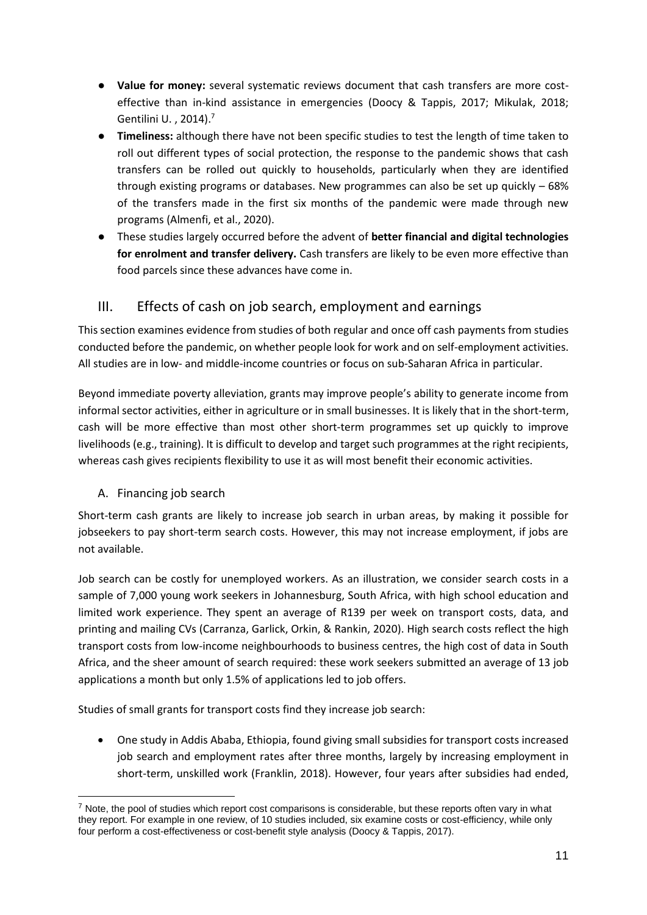- **Value for money:** several systematic reviews document that cash transfers are more costeffective than in-kind assistance in emergencies (Doocy & Tappis, 2017; Mikulak, 2018; Gentilini U. , 2014). 7
- **Timeliness:** although there have not been specific studies to test the length of time taken to roll out different types of social protection, the response to the pandemic shows that cash transfers can be rolled out quickly to households, particularly when they are identified through existing programs or databases. New programmes can also be set up quickly – 68% of the transfers made in the first six months of the pandemic were made through new programs (Almenfi, et al., 2020).
- These studies largely occurred before the advent of **better financial and digital technologies for enrolment and transfer delivery.** Cash transfers are likely to be even more effective than food parcels since these advances have come in.

#### <span id="page-10-0"></span>III. Effects of cash on job search, employment and earnings

This section examines evidence from studies of both regular and once off cash payments from studies conducted before the pandemic, on whether people look for work and on self-employment activities. All studies are in low- and middle-income countries or focus on sub-Saharan Africa in particular.

Beyond immediate poverty alleviation, grants may improve people's ability to generate income from informal sector activities, either in agriculture or in small businesses. It is likely that in the short-term, cash will be more effective than most other short-term programmes set up quickly to improve livelihoods (e.g., training). It is difficult to develop and target such programmes at the right recipients, whereas cash gives recipients flexibility to use it as will most benefit their economic activities.

A. Financing job search

Short-term cash grants are likely to increase job search in urban areas, by making it possible for jobseekers to pay short-term search costs. However, this may not increase employment, if jobs are not available.

Job search can be costly for unemployed workers. As an illustration, we consider search costs in a sample of 7,000 young work seekers in Johannesburg, South Africa, with high school education and limited work experience. They spent an average of R139 per week on transport costs, data, and printing and mailing CVs (Carranza, Garlick, Orkin, & Rankin, 2020). High search costs reflect the high transport costs from low-income neighbourhoods to business centres, the high cost of data in South Africa, and the sheer amount of search required: these work seekers submitted an average of 13 job applications a month but only 1.5% of applications led to job offers.

Studies of small grants for transport costs find they increase job search:

• One study in Addis Ababa, Ethiopia, found giving small subsidies for transport costs increased job search and employment rates after three months, largely by increasing employment in short-term, unskilled work (Franklin, 2018). However, four years after subsidies had ended,

 $<sup>7</sup>$  Note, the pool of studies which report cost comparisons is considerable, but these reports often vary in what</sup> they report. For example in one review, of 10 studies included, six examine costs or cost-efficiency, while only four perform a cost-effectiveness or cost-benefit style analysis (Doocy & Tappis, 2017).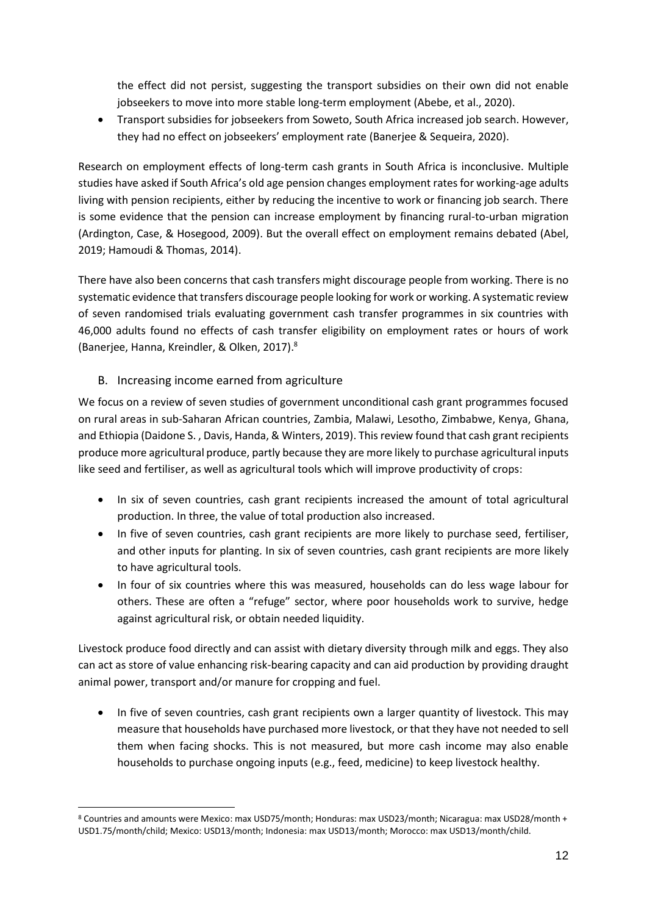the effect did not persist, suggesting the transport subsidies on their own did not enable jobseekers to move into more stable long-term employment (Abebe, et al., 2020).

• Transport subsidies for jobseekers from Soweto, South Africa increased job search. However, they had no effect on jobseekers' employment rate (Banerjee & Sequeira, 2020).

Research on employment effects of long-term cash grants in South Africa is inconclusive. Multiple studies have asked if South Africa's old age pension changes employment rates for working-age adults living with pension recipients, either by reducing the incentive to work or financing job search. There is some evidence that the pension can increase employment by financing rural-to-urban migration (Ardington, Case, & Hosegood, 2009). But the overall effect on employment remains debated (Abel, 2019; Hamoudi & Thomas, 2014).

There have also been concerns that cash transfers might discourage people from working. There is no systematic evidence that transfers discourage people looking for work or working. A systematic review of seven randomised trials evaluating government cash transfer programmes in six countries with 46,000 adults found no effects of cash transfer eligibility on employment rates or hours of work (Banerjee, Hanna, Kreindler, & Olken, 2017). 8

#### B. Increasing income earned from agriculture

We focus on a review of seven studies of government unconditional cash grant programmes focused on rural areas in sub-Saharan African countries, Zambia, Malawi, Lesotho, Zimbabwe, Kenya, Ghana, and Ethiopia (Daidone S. , Davis, Handa, & Winters, 2019). This review found that cash grant recipients produce more agricultural produce, partly because they are more likely to purchase agricultural inputs like seed and fertiliser, as well as agricultural tools which will improve productivity of crops:

- In six of seven countries, cash grant recipients increased the amount of total agricultural production. In three, the value of total production also increased.
- In five of seven countries, cash grant recipients are more likely to purchase seed, fertiliser, and other inputs for planting. In six of seven countries, cash grant recipients are more likely to have agricultural tools.
- In four of six countries where this was measured, households can do less wage labour for others. These are often a "refuge" sector, where poor households work to survive, hedge against agricultural risk, or obtain needed liquidity.

Livestock produce food directly and can assist with dietary diversity through milk and eggs. They also can act as store of value enhancing risk-bearing capacity and can aid production by providing draught animal power, transport and/or manure for cropping and fuel.

• In five of seven countries, cash grant recipients own a larger quantity of livestock. This may measure that households have purchased more livestock, or that they have not needed to sell them when facing shocks. This is not measured, but more cash income may also enable households to purchase ongoing inputs (e.g., feed, medicine) to keep livestock healthy.

<sup>8</sup> Countries and amounts were Mexico: max USD75/month; Honduras: max USD23/month; Nicaragua: max USD28/month + USD1.75/month/child; Mexico: USD13/month; Indonesia: max USD13/month; Morocco: max USD13/month/child.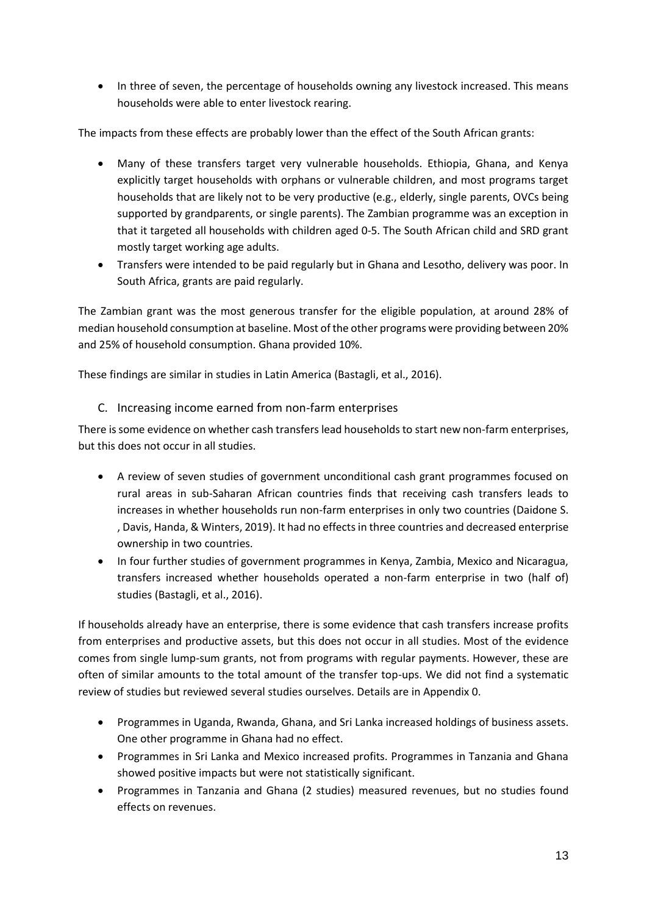• In three of seven, the percentage of households owning any livestock increased. This means households were able to enter livestock rearing.

The impacts from these effects are probably lower than the effect of the South African grants:

- Many of these transfers target very vulnerable households. Ethiopia, Ghana, and Kenya explicitly target households with orphans or vulnerable children, and most programs target households that are likely not to be very productive (e.g., elderly, single parents, OVCs being supported by grandparents, or single parents). The Zambian programme was an exception in that it targeted all households with children aged 0-5. The South African child and SRD grant mostly target working age adults.
- Transfers were intended to be paid regularly but in Ghana and Lesotho, delivery was poor. In South Africa, grants are paid regularly.

The Zambian grant was the most generous transfer for the eligible population, at around 28% of median household consumption at baseline. Most of the other programs were providing between 20% and 25% of household consumption. Ghana provided 10%.

These findings are similar in studies in Latin America (Bastagli, et al., 2016).

C. Increasing income earned from non-farm enterprises

There is some evidence on whether cash transfers lead households to start new non-farm enterprises, but this does not occur in all studies.

- A review of seven studies of government unconditional cash grant programmes focused on rural areas in sub-Saharan African countries finds that receiving cash transfers leads to increases in whether households run non-farm enterprises in only two countries (Daidone S. , Davis, Handa, & Winters, 2019). It had no effects in three countries and decreased enterprise ownership in two countries.
- In four further studies of government programmes in Kenya, Zambia, Mexico and Nicaragua, transfers increased whether households operated a non-farm enterprise in two (half of) studies (Bastagli, et al., 2016).

If households already have an enterprise, there is some evidence that cash transfers increase profits from enterprises and productive assets, but this does not occur in all studies. Most of the evidence comes from single lump-sum grants, not from programs with regular payments. However, these are often of similar amounts to the total amount of the transfer top-ups. We did not find a systematic review of studies but reviewed several studies ourselves. Details are in Appendix [0.](#page-29-0)

- Programmes in Uganda, Rwanda, Ghana, and Sri Lanka increased holdings of business assets. One other programme in Ghana had no effect.
- Programmes in Sri Lanka and Mexico increased profits. Programmes in Tanzania and Ghana showed positive impacts but were not statistically significant.
- Programmes in Tanzania and Ghana (2 studies) measured revenues, but no studies found effects on revenues.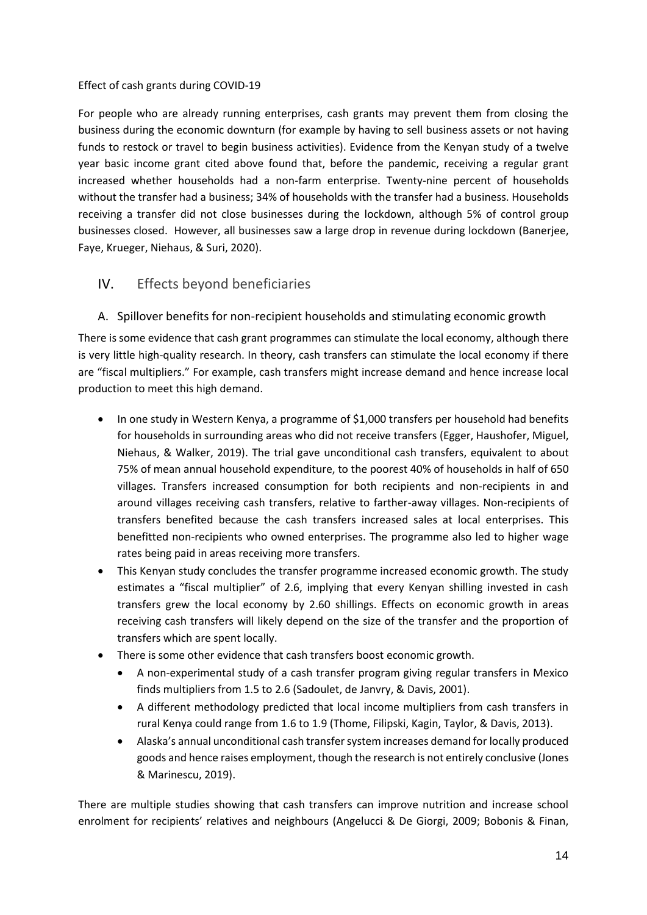#### Effect of cash grants during COVID-19

For people who are already running enterprises, cash grants may prevent them from closing the business during the economic downturn (for example by having to sell business assets or not having funds to restock or travel to begin business activities). Evidence from the Kenyan study of a twelve year basic income grant cited above found that, before the pandemic, receiving a regular grant increased whether households had a non-farm enterprise. Twenty-nine percent of households without the transfer had a business; 34% of households with the transfer had a business. Households receiving a transfer did not close businesses during the lockdown, although 5% of control group businesses closed. However, all businesses saw a large drop in revenue during lockdown (Banerjee, Faye, Krueger, Niehaus, & Suri, 2020).

#### <span id="page-13-0"></span>IV. Effects beyond beneficiaries

A. Spillover benefits for non-recipient households and stimulating economic growth

There is some evidence that cash grant programmes can stimulate the local economy, although there is very little high-quality research. In theory, cash transfers can stimulate the local economy if there are "fiscal multipliers." For example, cash transfers might increase demand and hence increase local production to meet this high demand.

- In one study in Western Kenya, a programme of \$1,000 transfers per household had benefits for households in surrounding areas who did not receive transfers (Egger, Haushofer, Miguel, Niehaus, & Walker, 2019). The trial gave unconditional cash transfers, equivalent to about 75% of mean annual household expenditure, to the poorest 40% of households in half of 650 villages. Transfers increased consumption for both recipients and non-recipients in and around villages receiving cash transfers, relative to farther-away villages. Non-recipients of transfers benefited because the cash transfers increased sales at local enterprises. This benefitted non-recipients who owned enterprises. The programme also led to higher wage rates being paid in areas receiving more transfers.
- This Kenyan study concludes the transfer programme increased economic growth. The study estimates a "fiscal multiplier" of 2.6, implying that every Kenyan shilling invested in cash transfers grew the local economy by 2.60 shillings. Effects on economic growth in areas receiving cash transfers will likely depend on the size of the transfer and the proportion of transfers which are spent locally.
- There is some other evidence that cash transfers boost economic growth.
	- A non-experimental study of a cash transfer program giving regular transfers in Mexico finds multipliers from 1.5 to 2.6 (Sadoulet, de Janvry, & Davis, 2001).
	- A different methodology predicted that local income multipliers from cash transfers in rural Kenya could range from 1.6 to 1.9 (Thome, Filipski, Kagin, Taylor, & Davis, 2013).
	- Alaska's annual unconditional cash transfer system increases demand for locally produced goods and hence raises employment, though the research is not entirely conclusive (Jones & Marinescu, 2019).

There are multiple studies showing that cash transfers can improve nutrition and increase school enrolment for recipients' relatives and neighbours (Angelucci & De Giorgi, 2009; Bobonis & Finan,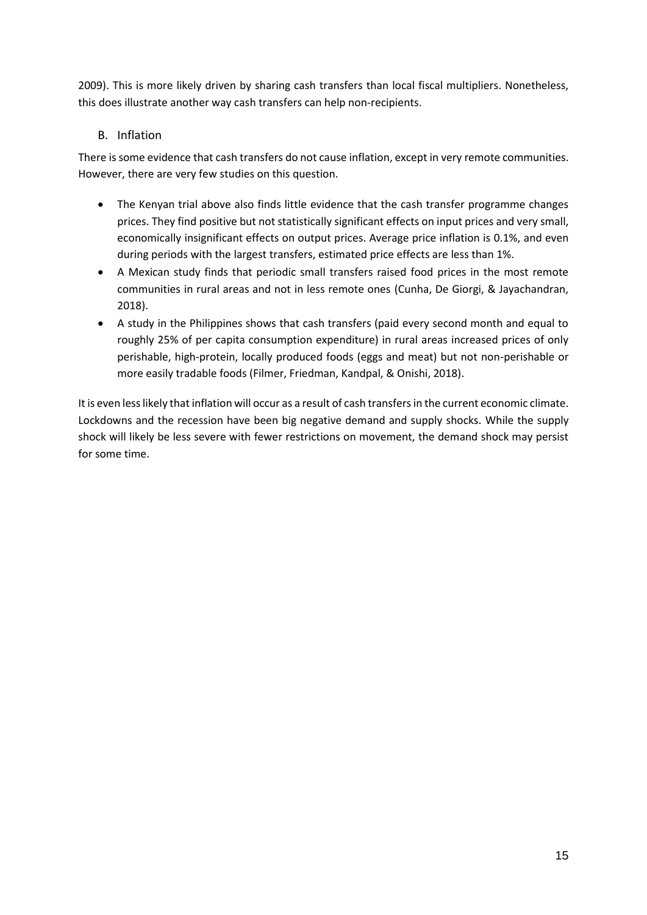2009). This is more likely driven by sharing cash transfers than local fiscal multipliers. Nonetheless, this does illustrate another way cash transfers can help non-recipients.

#### B. Inflation

There is some evidence that cash transfers do not cause inflation, except in very remote communities. However, there are very few studies on this question.

- The Kenyan trial above also finds little evidence that the cash transfer programme changes prices. They find positive but not statistically significant effects on input prices and very small, economically insignificant effects on output prices. Average price inflation is 0.1%, and even during periods with the largest transfers, estimated price effects are less than 1%.
- A Mexican study finds that periodic small transfers raised food prices in the most remote communities in rural areas and not in less remote ones (Cunha, De Giorgi, & Jayachandran, 2018).
- A study in the Philippines shows that cash transfers (paid every second month and equal to roughly 25% of per capita consumption expenditure) in rural areas increased prices of only perishable, high-protein, locally produced foods (eggs and meat) but not non-perishable or more easily tradable foods (Filmer, Friedman, Kandpal, & Onishi, 2018).

It is even less likely that inflation will occur as a result of cash transfers in the current economic climate. Lockdowns and the recession have been big negative demand and supply shocks. While the supply shock will likely be less severe with fewer restrictions on movement, the demand shock may persist for some time.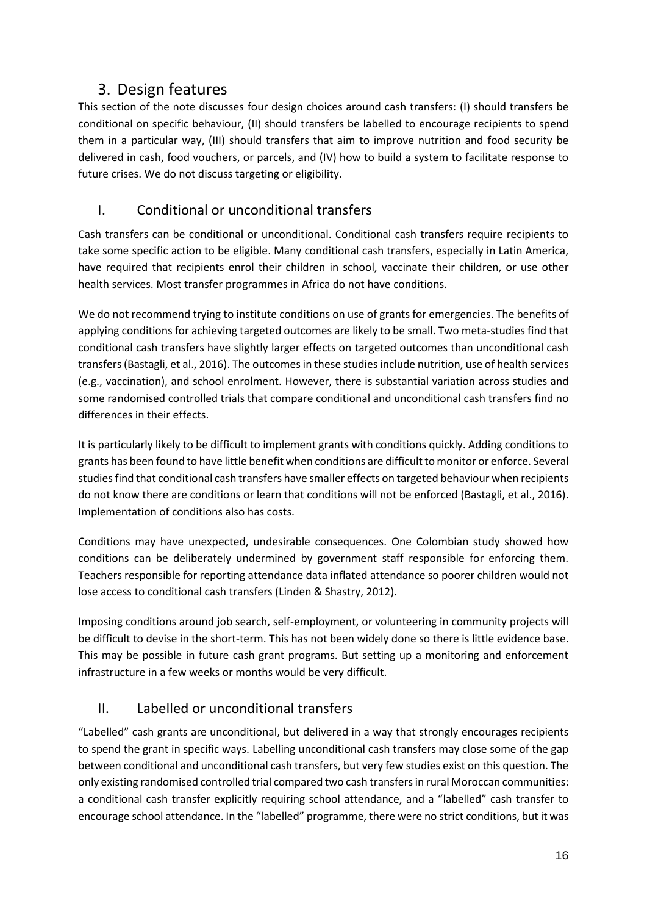## 3. Design features

<span id="page-15-0"></span>This section of the note discusses four design choices around cash transfers: (I) should transfers be conditional on specific behaviour, (II) should transfers be labelled to encourage recipients to spend them in a particular way, (III) should transfers that aim to improve nutrition and food security be delivered in cash, food vouchers, or parcels, and (IV) how to build a system to facilitate response to future crises. We do not discuss targeting or eligibility.

## <span id="page-15-1"></span>I. Conditional or unconditional transfers

Cash transfers can be conditional or unconditional. Conditional cash transfers require recipients to take some specific action to be eligible. Many conditional cash transfers, especially in Latin America, have required that recipients enrol their children in school, vaccinate their children, or use other health services. Most transfer programmes in Africa do not have conditions.

We do not recommend trying to institute conditions on use of grants for emergencies. The benefits of applying conditions for achieving targeted outcomes are likely to be small. Two meta-studies find that conditional cash transfers have slightly larger effects on targeted outcomes than unconditional cash transfers(Bastagli, et al., 2016). The outcomes in these studies include nutrition, use of health services (e.g., vaccination), and school enrolment. However, there is substantial variation across studies and some randomised controlled trials that compare conditional and unconditional cash transfers find no differences in their effects.

It is particularly likely to be difficult to implement grants with conditions quickly. Adding conditions to grants has been found to have little benefit when conditions are difficult to monitor or enforce. Several studies find that conditional cash transfers have smaller effects on targeted behaviour when recipients do not know there are conditions or learn that conditions will not be enforced (Bastagli, et al., 2016). Implementation of conditions also has costs.

Conditions may have unexpected, undesirable consequences. One Colombian study showed how conditions can be deliberately undermined by government staff responsible for enforcing them. Teachers responsible for reporting attendance data inflated attendance so poorer children would not lose access to conditional cash transfers (Linden & Shastry, 2012).

Imposing conditions around job search, self-employment, or volunteering in community projects will be difficult to devise in the short-term. This has not been widely done so there is little evidence base. This may be possible in future cash grant programs. But setting up a monitoring and enforcement infrastructure in a few weeks or months would be very difficult.

## <span id="page-15-2"></span>II. Labelled or unconditional transfers

"Labelled" cash grants are unconditional, but delivered in a way that strongly encourages recipients to spend the grant in specific ways. Labelling unconditional cash transfers may close some of the gap between conditional and unconditional cash transfers, but very few studies exist on this question. The only existing randomised controlled trial compared two cash transfers in rural Moroccan communities: a conditional cash transfer explicitly requiring school attendance, and a "labelled" cash transfer to encourage school attendance. In the "labelled" programme, there were no strict conditions, but it was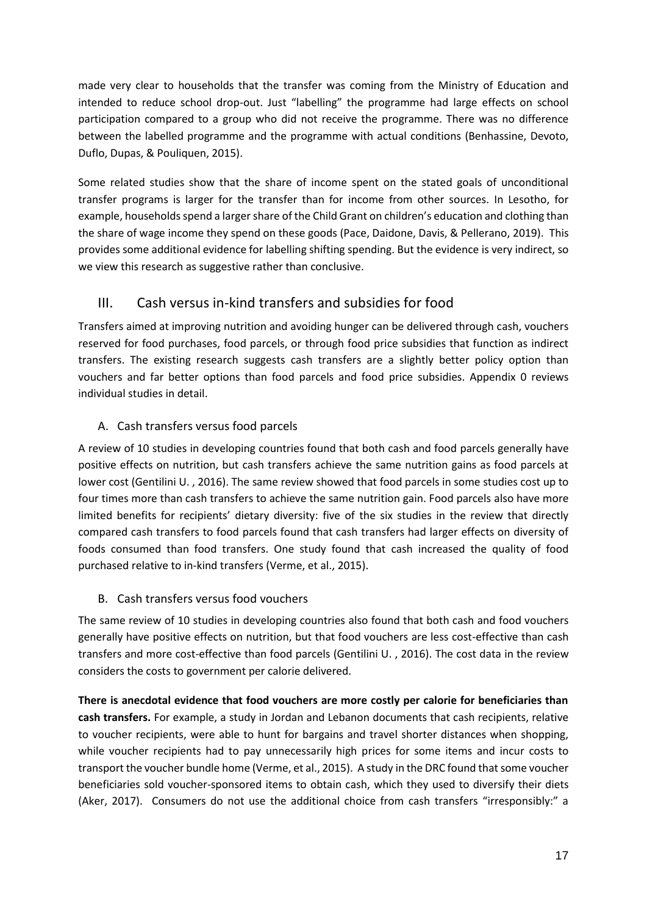made very clear to households that the transfer was coming from the Ministry of Education and intended to reduce school drop-out. Just "labelling" the programme had large effects on school participation compared to a group who did not receive the programme. There was no difference between the labelled programme and the programme with actual conditions (Benhassine, Devoto, Duflo, Dupas, & Pouliquen, 2015).

Some related studies show that the share of income spent on the stated goals of unconditional transfer programs is larger for the transfer than for income from other sources. In Lesotho, for example, households spend a larger share of the Child Grant on children's education and clothing than the share of wage income they spend on these goods (Pace, Daidone, Davis, & Pellerano, 2019). This provides some additional evidence for labelling shifting spending. But the evidence is very indirect, so we view this research as suggestive rather than conclusive.

#### <span id="page-16-0"></span>III. Cash versus in-kind transfers and subsidies for food

Transfers aimed at improving nutrition and avoiding hunger can be delivered through cash, vouchers reserved for food purchases, food parcels, or through food price subsidies that function as indirect transfers. The existing research suggests cash transfers are a slightly better policy option than vouchers and far better options than food parcels and food price subsidies. Appendix [0](#page-31-0) reviews individual studies in detail.

#### A. Cash transfers versus food parcels

A review of 10 studies in developing countries found that both cash and food parcels generally have positive effects on nutrition, but cash transfers achieve the same nutrition gains as food parcels at lower cost (Gentilini U. , 2016). The same review showed that food parcels in some studies cost up to four times more than cash transfers to achieve the same nutrition gain. Food parcels also have more limited benefits for recipients' dietary diversity: five of the six studies in the review that directly compared cash transfers to food parcels found that cash transfers had larger effects on diversity of foods consumed than food transfers. One study found that cash increased the quality of food purchased relative to in-kind transfers (Verme, et al., 2015).

#### B. Cash transfers versus food vouchers

The same review of 10 studies in developing countries also found that both cash and food vouchers generally have positive effects on nutrition, but that food vouchers are less cost-effective than cash transfers and more cost-effective than food parcels (Gentilini U. , 2016). The cost data in the review considers the costs to government per calorie delivered.

**There is anecdotal evidence that food vouchers are more costly per calorie for beneficiaries than cash transfers.** For example, a study in Jordan and Lebanon documents that cash recipients, relative to voucher recipients, were able to hunt for bargains and travel shorter distances when shopping, while voucher recipients had to pay unnecessarily high prices for some items and incur costs to transport the voucher bundle home (Verme, et al., 2015). A study in the DRC found that some voucher beneficiaries sold voucher-sponsored items to obtain cash, which they used to diversify their diets (Aker, 2017). Consumers do not use the additional choice from cash transfers "irresponsibly:" a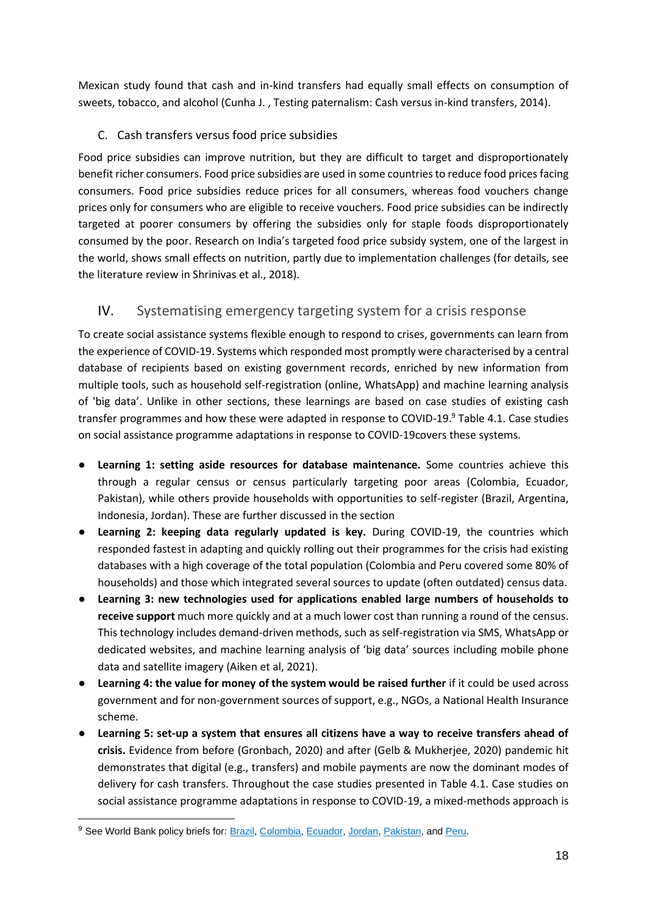Mexican study found that cash and in-kind transfers had equally small effects on consumption of sweets, tobacco, and alcohol (Cunha J. , Testing paternalism: Cash versus in-kind transfers, 2014).

#### C. Cash transfers versus food price subsidies

Food price subsidies can improve nutrition, but they are difficult to target and disproportionately benefit richer consumers. Food price subsidies are used in some countries to reduce food prices facing consumers. Food price subsidies reduce prices for all consumers, whereas food vouchers change prices only for consumers who are eligible to receive vouchers. Food price subsidies can be indirectly targeted at poorer consumers by offering the subsidies only for staple foods disproportionately consumed by the poor. Research on India's targeted food price subsidy system, one of the largest in the world, shows small effects on nutrition, partly due to implementation challenges (for details, see the literature review in Shrinivas et al., 2018).

#### <span id="page-17-0"></span>IV. Systematising emergency targeting system for a crisis response

To create social assistance systems flexible enough to respond to crises, governments can learn from the experience of COVID-19. Systems which responded most promptly were characterised by a central database of recipients based on existing government records, enriched by new information from multiple tools, such as household self-registration (online, WhatsApp) and machine learning analysis of 'big data'. Unlike in other sections, these learnings are based on case studies of existing cash transfer programmes and how these were adapted in response to COVID-19.<sup>9</sup> Table 4.1. Case studies [on social assistance programme adaptations in response to COVID-19c](#page-34-1)overs these systems.

- **Learning 1: setting aside resources for database maintenance.** Some countries achieve this through a regular census or census particularly targeting poor areas (Colombia, Ecuador, Pakistan), while others provide households with opportunities to self-register (Brazil, Argentina, Indonesia, Jordan). These are further discussed in the section
- **Learning 2: keeping data regularly updated is key.** During COVID-19, the countries which responded fastest in adapting and quickly rolling out their programmes for the crisis had existing databases with a high coverage of the total population (Colombia and Peru covered some 80% of households) and those which integrated several sources to update (often outdated) census data.
- **Learning 3: new technologies used for applications enabled large numbers of households to receive support** much more quickly and at a much lower cost than running a round of the census. This technology includes demand-driven methods, such as self-registration via SMS, WhatsApp or dedicated websites, and machine learning analysis of 'big data' sources including mobile phone data and satellite imagery (Aiken et al, 2021).
- **Learning 4: the value for money of the system would be raised further** if it could be used across government and for non-government sources of support, e.g., NGOs, a National Health Insurance scheme.
- **Learning 5: set-up a system that ensures all citizens have a way to receive transfers ahead of crisis.** Evidence from before (Gronbach, 2020) and after (Gelb & Mukherjee, 2020) pandemic hit demonstrates that digital (e.g., transfers) and mobile payments are now the dominant modes of delivery for cash transfers. Throughout the case studies presented in [Table 4.1. Case studies on](#page-34-1)  [social assistance programme adaptations in response to COVID-19,](#page-34-1) a mixed-methods approach is

<sup>9</sup> See World Bank policy briefs for: [Brazil](http://pubdocs.worldbank.org/en/758401593464558927/World-Bank-G2Px-COVID19-Brazil-Brief.pdf)[,](http://pubdocs.worldbank.org/en/760541593464535534/World-Bank-G2Px-COVID19-Pakistan-Brief.pdf) [Colombia](http://pubdocs.worldbank.org/en/863501593464582316/World-Bank-G2Px-COVID19-Colombia-Brief.pdf), [Ecuador,](http://pubdocs.worldbank.org/en/129771593464547099/World-Bank-G2Px-COVID19-Ecuador-Brief.pdf) [Jordan](http://pubdocs.worldbank.org/en/229771593464525513/World-Bank-G2Px-COVID19-Jordan-Brief.pdf), [Pakistan,](http://pubdocs.worldbank.org/en/760541593464535534/World-Bank-G2Px-COVID19-Pakistan-Brief.pdf) an[d](http://pubdocs.worldbank.org/en/621251593464570382/World-Bank-G2Px-COVID19-Peru-Brief.pdf) [Peru.](http://pubdocs.worldbank.org/en/621251593464570382/World-Bank-G2Px-COVID19-Peru-Brief.pdf)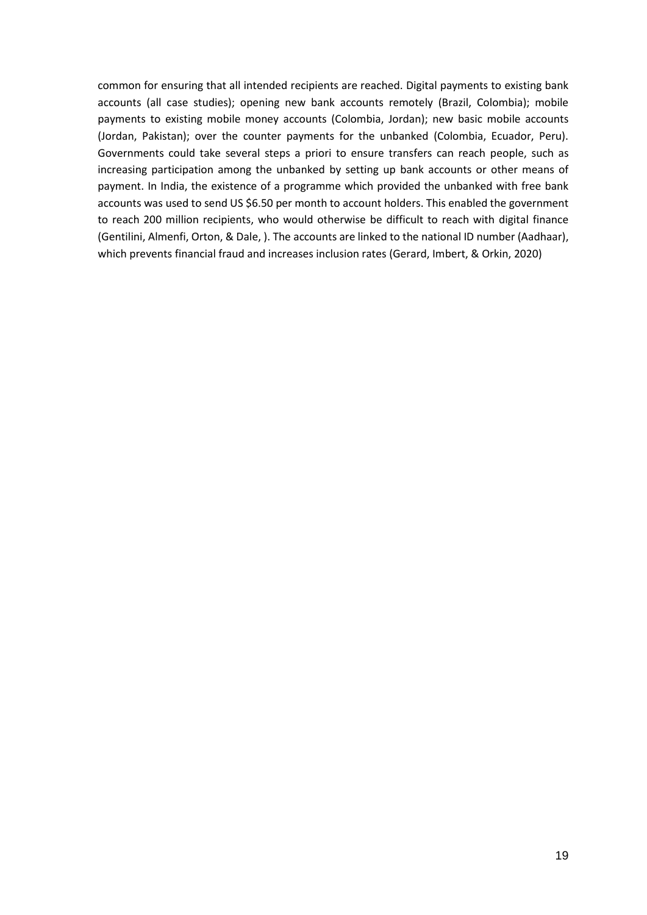common for ensuring that all intended recipients are reached. Digital payments to existing bank accounts (all case studies); opening new bank accounts remotely (Brazil, Colombia); mobile payments to existing mobile money accounts (Colombia, Jordan); new basic mobile accounts (Jordan, Pakistan); over the counter payments for the unbanked (Colombia, Ecuador, Peru). Governments could take several steps a priori to ensure transfers can reach people, such as increasing participation among the unbanked by setting up bank accounts or other means of payment. In India, the existence of a programme which provided the unbanked with free bank accounts was used to send US \$6.50 per month to account holders. This enabled the government to reach 200 million recipients, who would otherwise be difficult to reach with digital finance (Gentilini, Almenfi, Orton, & Dale, ). The accounts are linked to the national ID number (Aadhaar), which prevents financial fraud and increases inclusion rates (Gerard, Imbert, & Orkin, 2020)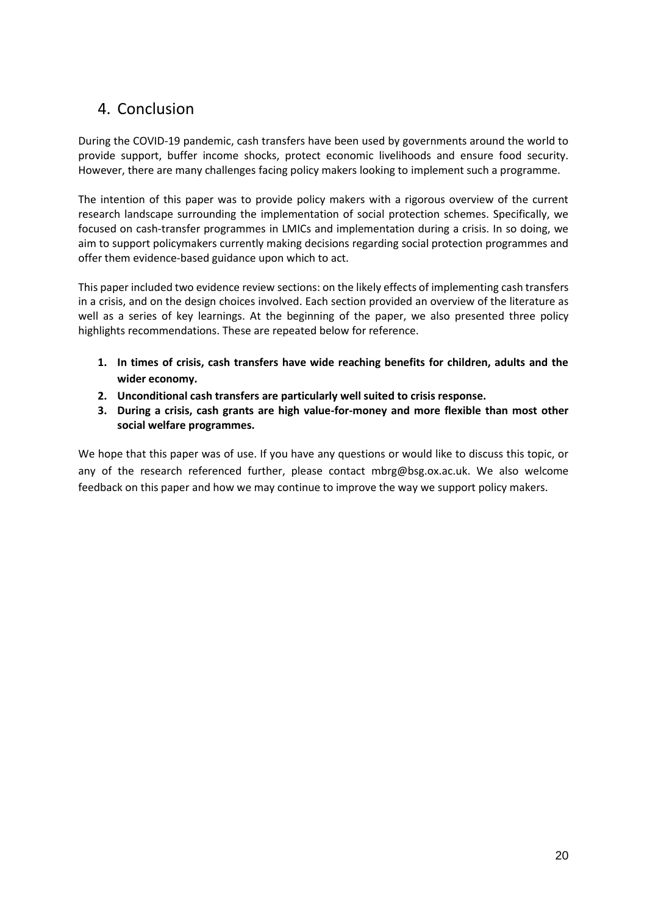## <span id="page-19-0"></span>4. Conclusion

During the COVID-19 pandemic, cash transfers have been used by governments around the world to provide support, buffer income shocks, protect economic livelihoods and ensure food security. However, there are many challenges facing policy makers looking to implement such a programme.

The intention of this paper was to provide policy makers with a rigorous overview of the current research landscape surrounding the implementation of social protection schemes. Specifically, we focused on cash-transfer programmes in LMICs and implementation during a crisis. In so doing, we aim to support policymakers currently making decisions regarding social protection programmes and offer them evidence-based guidance upon which to act.

This paper included two evidence review sections: on the likely effects of implementing cash transfers in a crisis, and on the design choices involved. Each section provided an overview of the literature as well as a series of key learnings. At the beginning of the paper, we also presented three policy highlights recommendations. These are repeated below for reference.

- **1. In times of crisis, cash transfers have wide reaching benefits for children, adults and the wider economy.**
- **2. Unconditional cash transfers are particularly well suited to crisis response.**
- **3. During a crisis, cash grants are high value-for-money and more flexible than most other social welfare programmes.**

We hope that this paper was of use. If you have any questions or would like to discuss this topic, or any of the research referenced further, please contact mbrg@bsg.ox.ac.uk. We also welcome feedback on this paper and how we may continue to improve the way we support policy makers.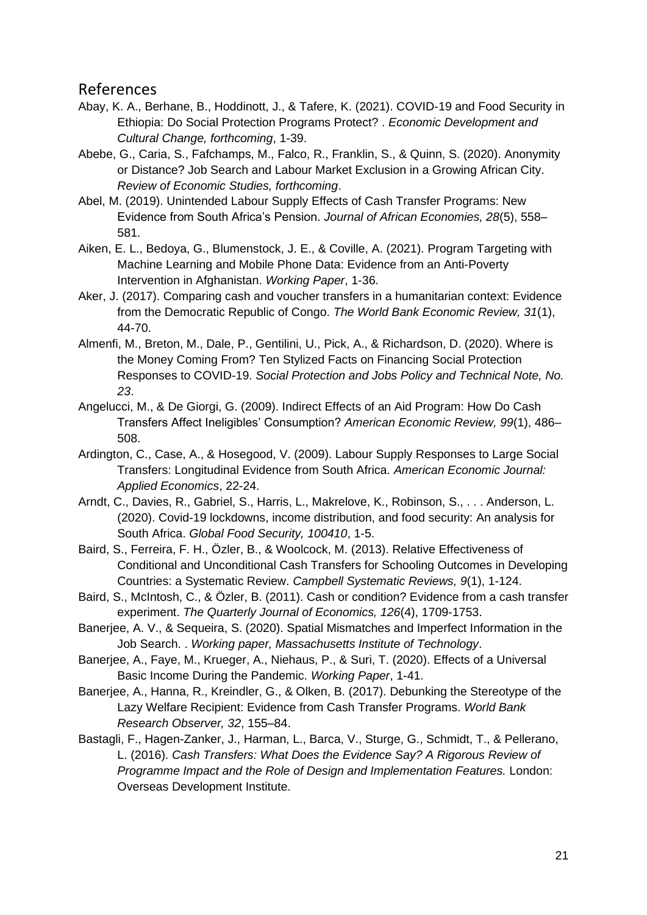#### <span id="page-20-0"></span>References

- Abay, K. A., Berhane, B., Hoddinott, J., & Tafere, K. (2021). COVID-19 and Food Security in Ethiopia: Do Social Protection Programs Protect? . *Economic Development and Cultural Change, forthcoming*, 1-39.
- Abebe, G., Caria, S., Fafchamps, M., Falco, R., Franklin, S., & Quinn, S. (2020). Anonymity or Distance? Job Search and Labour Market Exclusion in a Growing African City. *Review of Economic Studies, forthcoming*.
- Abel, M. (2019). Unintended Labour Supply Effects of Cash Transfer Programs: New Evidence from South Africa's Pension. *Journal of African Economies, 28*(5), 558– 581.
- Aiken, E. L., Bedoya, G., Blumenstock, J. E., & Coville, A. (2021). Program Targeting with Machine Learning and Mobile Phone Data: Evidence from an Anti-Poverty Intervention in Afghanistan. *Working Paper*, 1-36.
- Aker, J. (2017). Comparing cash and voucher transfers in a humanitarian context: Evidence from the Democratic Republic of Congo. *The World Bank Economic Review, 31*(1), 44-70.
- Almenfi, M., Breton, M., Dale, P., Gentilini, U., Pick, A., & Richardson, D. (2020). Where is the Money Coming From? Ten Stylized Facts on Financing Social Protection Responses to COVID-19. *Social Protection and Jobs Policy and Technical Note, No. 23*.
- Angelucci, M., & De Giorgi, G. (2009). Indirect Effects of an Aid Program: How Do Cash Transfers Affect Ineligibles' Consumption? *American Economic Review, 99*(1), 486– 508.
- Ardington, C., Case, A., & Hosegood, V. (2009). Labour Supply Responses to Large Social Transfers: Longitudinal Evidence from South Africa. *American Economic Journal: Applied Economics*, 22-24.
- Arndt, C., Davies, R., Gabriel, S., Harris, L., Makrelove, K., Robinson, S., . . . Anderson, L. (2020). Covid-19 lockdowns, income distribution, and food security: An analysis for South Africa. *Global Food Security, 100410*, 1-5.
- Baird, S., Ferreira, F. H., Özler, B., & Woolcock, M. (2013). Relative Effectiveness of Conditional and Unconditional Cash Transfers for Schooling Outcomes in Developing Countries: a Systematic Review. *Campbell Systematic Reviews, 9*(1), 1-124.
- Baird, S., McIntosh, C., & Özler, B. (2011). Cash or condition? Evidence from a cash transfer experiment. *The Quarterly Journal of Economics, 126*(4), 1709-1753.
- Banerjee, A. V., & Sequeira, S. (2020). Spatial Mismatches and Imperfect Information in the Job Search. . *Working paper, Massachusetts Institute of Technology*.
- Banerjee, A., Faye, M., Krueger, A., Niehaus, P., & Suri, T. (2020). Effects of a Universal Basic Income During the Pandemic. *Working Paper*, 1-41.
- Banerjee, A., Hanna, R., Kreindler, G., & Olken, B. (2017). Debunking the Stereotype of the Lazy Welfare Recipient: Evidence from Cash Transfer Programs. *World Bank Research Observer, 32*, 155–84.
- Bastagli, F., Hagen-Zanker, J., Harman, L., Barca, V., Sturge, G., Schmidt, T., & Pellerano, L. (2016). *Cash Transfers: What Does the Evidence Say? A Rigorous Review of Programme Impact and the Role of Design and Implementation Features.* London: Overseas Development Institute.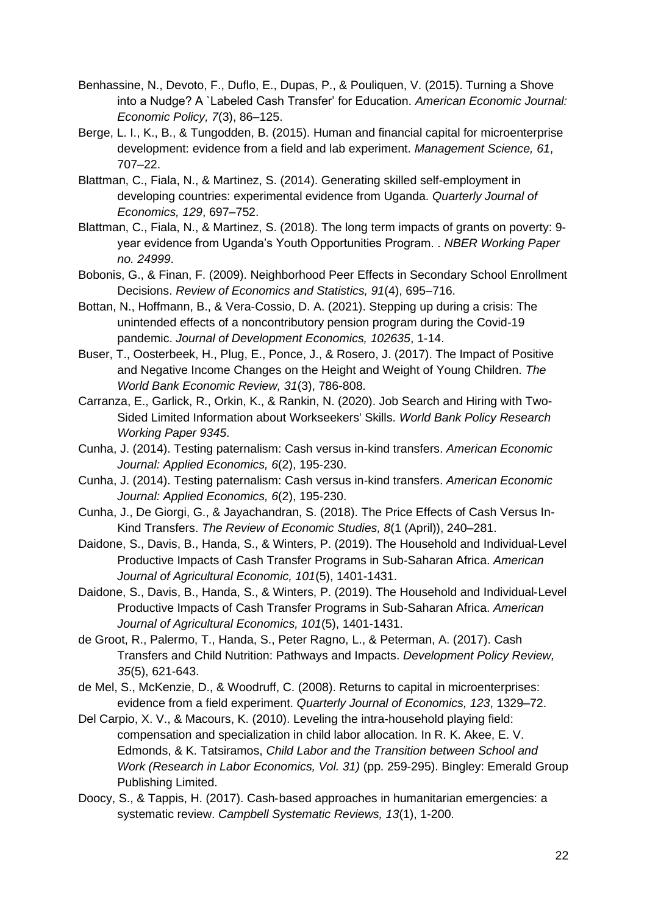- Benhassine, N., Devoto, F., Duflo, E., Dupas, P., & Pouliquen, V. (2015). Turning a Shove into a Nudge? A `Labeled Cash Transfer' for Education. *American Economic Journal: Economic Policy, 7*(3), 86–125.
- Berge, L. I., K., B., & Tungodden, B. (2015). Human and financial capital for microenterprise development: evidence from a field and lab experiment. *Management Science, 61*, 707–22.
- Blattman, C., Fiala, N., & Martinez, S. (2014). Generating skilled self-employment in developing countries: experimental evidence from Uganda. *Quarterly Journal of Economics, 129*, 697–752.
- Blattman, C., Fiala, N., & Martinez, S. (2018). The long term impacts of grants on poverty: 9 year evidence from Uganda's Youth Opportunities Program. . *NBER Working Paper no. 24999*.
- Bobonis, G., & Finan, F. (2009). Neighborhood Peer Effects in Secondary School Enrollment Decisions. *Review of Economics and Statistics, 91*(4), 695–716.
- Bottan, N., Hoffmann, B., & Vera-Cossio, D. A. (2021). Stepping up during a crisis: The unintended effects of a noncontributory pension program during the Covid-19 pandemic. *Journal of Development Economics, 102635*, 1-14.
- Buser, T., Oosterbeek, H., Plug, E., Ponce, J., & Rosero, J. (2017). The Impact of Positive and Negative Income Changes on the Height and Weight of Young Children. *The World Bank Economic Review, 31*(3), 786-808.
- Carranza, E., Garlick, R., Orkin, K., & Rankin, N. (2020). Job Search and Hiring with Two-Sided Limited Information about Workseekers' Skills. *World Bank Policy Research Working Paper 9345*.
- Cunha, J. (2014). Testing paternalism: Cash versus in-kind transfers. *American Economic Journal: Applied Economics, 6*(2), 195-230.
- Cunha, J. (2014). Testing paternalism: Cash versus in-kind transfers. *American Economic Journal: Applied Economics, 6*(2), 195-230.
- Cunha, J., De Giorgi, G., & Jayachandran, S. (2018). The Price Effects of Cash Versus In-Kind Transfers. *The Review of Economic Studies, 8*(1 (April)), 240–281.
- Daidone, S., Davis, B., Handa, S., & Winters, P. (2019). The Household and Individual‐Level Productive Impacts of Cash Transfer Programs in Sub‐Saharan Africa. *American Journal of Agricultural Economic, 101*(5), 1401-1431.
- Daidone, S., Davis, B., Handa, S., & Winters, P. (2019). The Household and Individual‐Level Productive Impacts of Cash Transfer Programs in Sub‐Saharan Africa. *American Journal of Agricultural Economics, 101*(5), 1401-1431.
- de Groot, R., Palermo, T., Handa, S., Peter Ragno, L., & Peterman, A. (2017). Cash Transfers and Child Nutrition: Pathways and Impacts. *Development Policy Review, 35*(5), 621-643.
- de Mel, S., McKenzie, D., & Woodruff, C. (2008). Returns to capital in microenterprises: evidence from a field experiment. *Quarterly Journal of Economics, 123*, 1329–72.
- Del Carpio, X. V., & Macours, K. (2010). Leveling the intra-household playing field: compensation and specialization in child labor allocation. In R. K. Akee, E. V. Edmonds, & K. Tatsiramos, *Child Labor and the Transition between School and Work (Research in Labor Economics, Vol. 31)* (pp. 259-295). Bingley: Emerald Group Publishing Limited.
- Doocy, S., & Tappis, H. (2017). Cash‐based approaches in humanitarian emergencies: a systematic review. *Campbell Systematic Reviews, 13*(1), 1-200.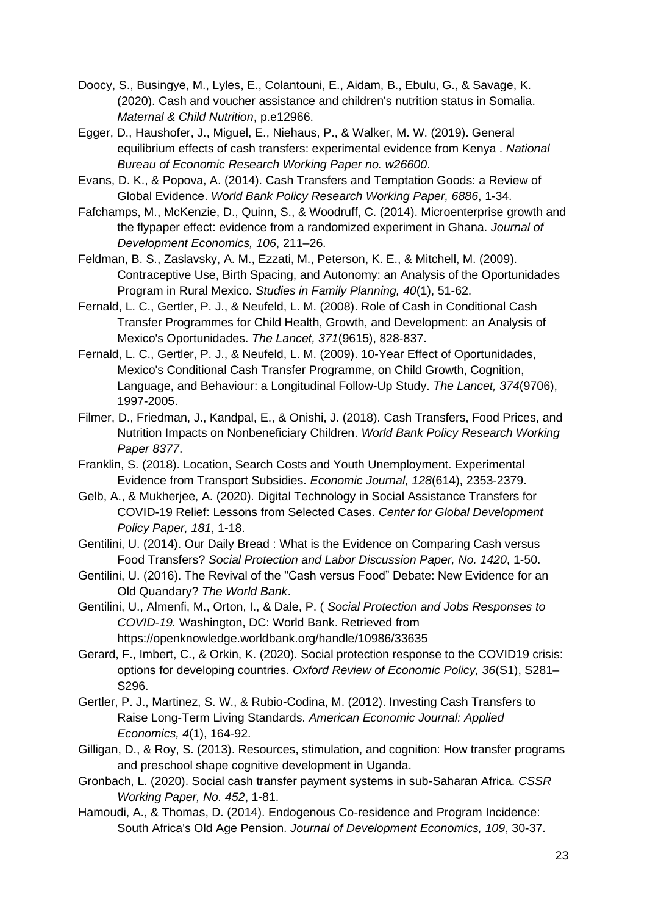- Doocy, S., Busingye, M., Lyles, E., Colantouni, E., Aidam, B., Ebulu, G., & Savage, K. (2020). Cash and voucher assistance and children's nutrition status in Somalia. *Maternal & Child Nutrition*, p.e12966.
- Egger, D., Haushofer, J., Miguel, E., Niehaus, P., & Walker, M. W. (2019). General equilibrium effects of cash transfers: experimental evidence from Kenya . *National Bureau of Economic Research Working Paper no. w26600*.
- Evans, D. K., & Popova, A. (2014). Cash Transfers and Temptation Goods: a Review of Global Evidence. *World Bank Policy Research Working Paper, 6886*, 1-34.
- Fafchamps, M., McKenzie, D., Quinn, S., & Woodruff, C. (2014). Microenterprise growth and the flypaper effect: evidence from a randomized experiment in Ghana. *Journal of Development Economics, 106*, 211–26.
- Feldman, B. S., Zaslavsky, A. M., Ezzati, M., Peterson, K. E., & Mitchell, M. (2009). Contraceptive Use, Birth Spacing, and Autonomy: an Analysis of the Oportunidades Program in Rural Mexico. *Studies in Family Planning, 40*(1), 51-62.
- Fernald, L. C., Gertler, P. J., & Neufeld, L. M. (2008). Role of Cash in Conditional Cash Transfer Programmes for Child Health, Growth, and Development: an Analysis of Mexico's Oportunidades. *The Lancet, 371*(9615), 828-837.
- Fernald, L. C., Gertler, P. J., & Neufeld, L. M. (2009). 10-Year Effect of Oportunidades, Mexico's Conditional Cash Transfer Programme, on Child Growth, Cognition, Language, and Behaviour: a Longitudinal Follow-Up Study. *The Lancet, 374*(9706), 1997-2005.
- Filmer, D., Friedman, J., Kandpal, E., & Onishi, J. (2018). Cash Transfers, Food Prices, and Nutrition Impacts on Nonbeneficiary Children. *World Bank Policy Research Working Paper 8377*.
- Franklin, S. (2018). Location, Search Costs and Youth Unemployment. Experimental Evidence from Transport Subsidies. *Economic Journal, 128*(614), 2353-2379.
- Gelb, A., & Mukherjee, A. (2020). Digital Technology in Social Assistance Transfers for COVID-19 Relief: Lessons from Selected Cases. *Center for Global Development Policy Paper, 181*, 1-18.
- Gentilini, U. (2014). Our Daily Bread : What is the Evidence on Comparing Cash versus Food Transfers? *Social Protection and Labor Discussion Paper, No. 1420*, 1-50.
- Gentilini, U. (2016). The Revival of the "Cash versus Food" Debate: New Evidence for an Old Quandary? *The World Bank*.
- Gentilini, U., Almenfi, M., Orton, I., & Dale, P. ( *Social Protection and Jobs Responses to COVID-19.* Washington, DC: World Bank. Retrieved from https://openknowledge.worldbank.org/handle/10986/33635
- Gerard, F., Imbert, C., & Orkin, K. (2020). Social protection response to the COVID19 crisis: options for developing countries. *Oxford Review of Economic Policy, 36*(S1), S281– S296.
- Gertler, P. J., Martinez, S. W., & Rubio-Codina, M. (2012). Investing Cash Transfers to Raise Long-Term Living Standards. *American Economic Journal: Applied Economics, 4*(1), 164-92.
- Gilligan, D., & Roy, S. (2013). Resources, stimulation, and cognition: How transfer programs and preschool shape cognitive development in Uganda.
- Gronbach, L. (2020). Social cash transfer payment systems in sub-Saharan Africa. *CSSR Working Paper, No. 452*, 1-81.
- Hamoudi, A., & Thomas, D. (2014). Endogenous Co-residence and Program Incidence: South Africa's Old Age Pension. *Journal of Development Economics, 109*, 30-37.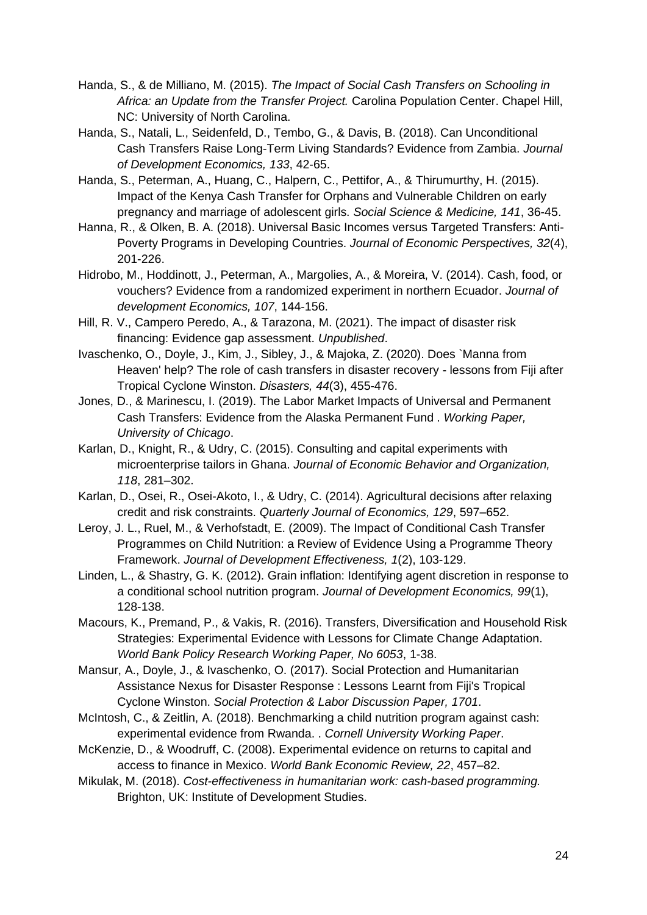- Handa, S., & de Milliano, M. (2015). *The Impact of Social Cash Transfers on Schooling in Africa: an Update from the Transfer Project.* Carolina Population Center. Chapel Hill, NC: University of North Carolina.
- Handa, S., Natali, L., Seidenfeld, D., Tembo, G., & Davis, B. (2018). Can Unconditional Cash Transfers Raise Long-Term Living Standards? Evidence from Zambia. *Journal of Development Economics, 133*, 42-65.
- Handa, S., Peterman, A., Huang, C., Halpern, C., Pettifor, A., & Thirumurthy, H. (2015). Impact of the Kenya Cash Transfer for Orphans and Vulnerable Children on early pregnancy and marriage of adolescent girls. *Social Science & Medicine, 141*, 36-45.
- Hanna, R., & Olken, B. A. (2018). Universal Basic Incomes versus Targeted Transfers: Anti-Poverty Programs in Developing Countries. *Journal of Economic Perspectives, 32*(4), 201-226.
- Hidrobo, M., Hoddinott, J., Peterman, A., Margolies, A., & Moreira, V. (2014). Cash, food, or vouchers? Evidence from a randomized experiment in northern Ecuador. *Journal of development Economics, 107*, 144-156.
- Hill, R. V., Campero Peredo, A., & Tarazona, M. (2021). The impact of disaster risk financing: Evidence gap assessment. *Unpublished*.
- Ivaschenko, O., Doyle, J., Kim, J., Sibley, J., & Majoka, Z. (2020). Does `Manna from Heaven' help? The role of cash transfers in disaster recovery - lessons from Fiji after Tropical Cyclone Winston. *Disasters, 44*(3), 455-476.
- Jones, D., & Marinescu, I. (2019). The Labor Market Impacts of Universal and Permanent Cash Transfers: Evidence from the Alaska Permanent Fund . *Working Paper, University of Chicago*.
- Karlan, D., Knight, R., & Udry, C. (2015). Consulting and capital experiments with microenterprise tailors in Ghana. *Journal of Economic Behavior and Organization, 118*, 281–302.
- Karlan, D., Osei, R., Osei-Akoto, I., & Udry, C. (2014). Agricultural decisions after relaxing credit and risk constraints. *Quarterly Journal of Economics, 129*, 597–652.
- Leroy, J. L., Ruel, M., & Verhofstadt, E. (2009). The Impact of Conditional Cash Transfer Programmes on Child Nutrition: a Review of Evidence Using a Programme Theory Framework. *Journal of Development Effectiveness, 1*(2), 103-129.
- Linden, L., & Shastry, G. K. (2012). Grain inflation: Identifying agent discretion in response to a conditional school nutrition program. *Journal of Development Economics, 99*(1), 128-138.
- Macours, K., Premand, P., & Vakis, R. (2016). Transfers, Diversification and Household Risk Strategies: Experimental Evidence with Lessons for Climate Change Adaptation. *World Bank Policy Research Working Paper, No 6053*, 1-38.
- Mansur, A., Doyle, J., & Ivaschenko, O. (2017). Social Protection and Humanitarian Assistance Nexus for Disaster Response : Lessons Learnt from Fiji's Tropical Cyclone Winston. *Social Protection & Labor Discussion Paper, 1701*.
- McIntosh, C., & Zeitlin, A. (2018). Benchmarking a child nutrition program against cash: experimental evidence from Rwanda. . *Cornell University Working Paper*.
- McKenzie, D., & Woodruff, C. (2008). Experimental evidence on returns to capital and access to finance in Mexico. *World Bank Economic Review, 22*, 457–82.
- Mikulak, M. (2018). *Cost-effectiveness in humanitarian work: cash-based programming.* Brighton, UK: Institute of Development Studies.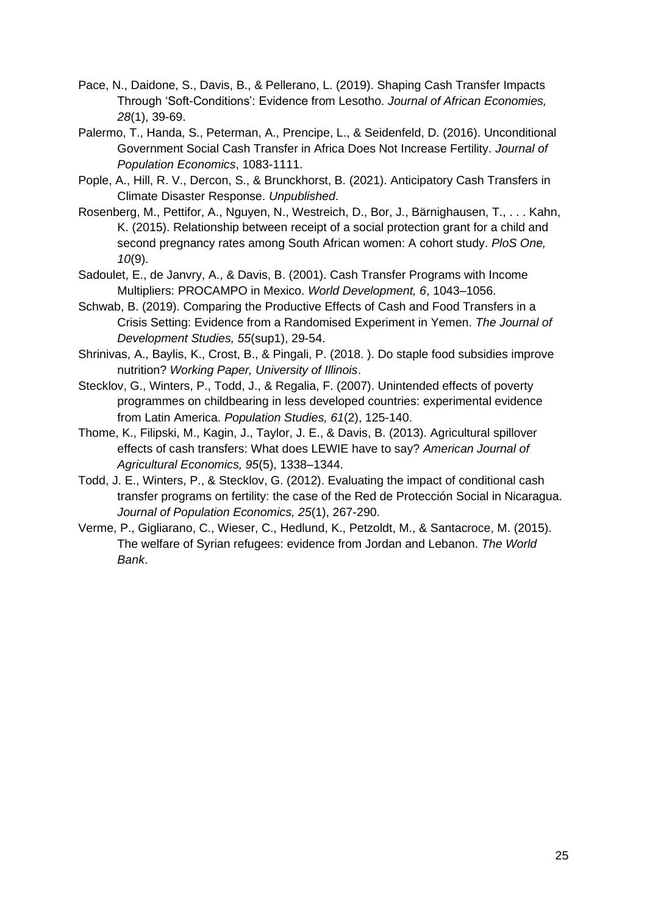- Pace, N., Daidone, S., Davis, B., & Pellerano, L. (2019). Shaping Cash Transfer Impacts Through 'Soft-Conditions': Evidence from Lesotho. *Journal of African Economies, 28*(1), 39-69.
- Palermo, T., Handa, S., Peterman, A., Prencipe, L., & Seidenfeld, D. (2016). Unconditional Government Social Cash Transfer in Africa Does Not Increase Fertility. *Journal of Population Economics*, 1083-1111.
- Pople, A., Hill, R. V., Dercon, S., & Brunckhorst, B. (2021). Anticipatory Cash Transfers in Climate Disaster Response. *Unpublished*.
- Rosenberg, M., Pettifor, A., Nguyen, N., Westreich, D., Bor, J., Bärnighausen, T., . . . Kahn, K. (2015). Relationship between receipt of a social protection grant for a child and second pregnancy rates among South African women: A cohort study. *PloS One, 10*(9).
- Sadoulet, E., de Janvry, A., & Davis, B. (2001). Cash Transfer Programs with Income Multipliers: PROCAMPO in Mexico. *World Development, 6*, 1043–1056.
- Schwab, B. (2019). Comparing the Productive Effects of Cash and Food Transfers in a Crisis Setting: Evidence from a Randomised Experiment in Yemen. *The Journal of Development Studies, 55*(sup1), 29-54.
- Shrinivas, A., Baylis, K., Crost, B., & Pingali, P. (2018. ). Do staple food subsidies improve nutrition? *Working Paper, University of Illinois*.
- Stecklov, G., Winters, P., Todd, J., & Regalia, F. (2007). Unintended effects of poverty programmes on childbearing in less developed countries: experimental evidence from Latin America. *Population Studies, 61*(2), 125-140.
- Thome, K., Filipski, M., Kagin, J., Taylor, J. E., & Davis, B. (2013). Agricultural spillover effects of cash transfers: What does LEWIE have to say? *American Journal of Agricultural Economics, 95*(5), 1338–1344.
- Todd, J. E., Winters, P., & Stecklov, G. (2012). Evaluating the impact of conditional cash transfer programs on fertility: the case of the Red de Protección Social in Nicaragua. *Journal of Population Economics, 25*(1), 267-290.
- Verme, P., Gigliarano, C., Wieser, C., Hedlund, K., Petzoldt, M., & Santacroce, M. (2015). The welfare of Syrian refugees: evidence from Jordan and Lebanon. *The World Bank*.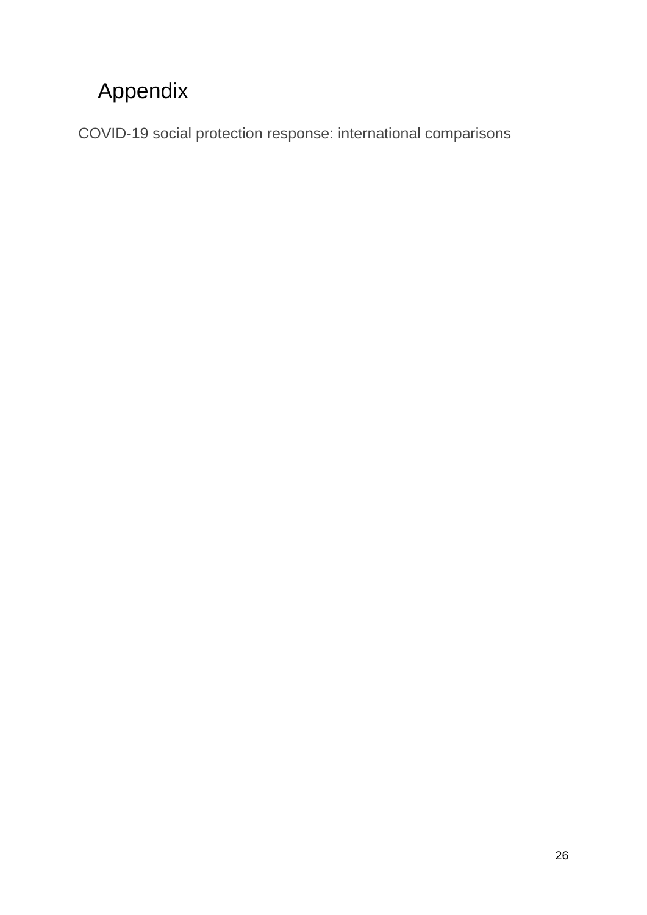## <span id="page-25-0"></span>Appendix

<span id="page-25-1"></span>COVID-19 social protection response: international comparisons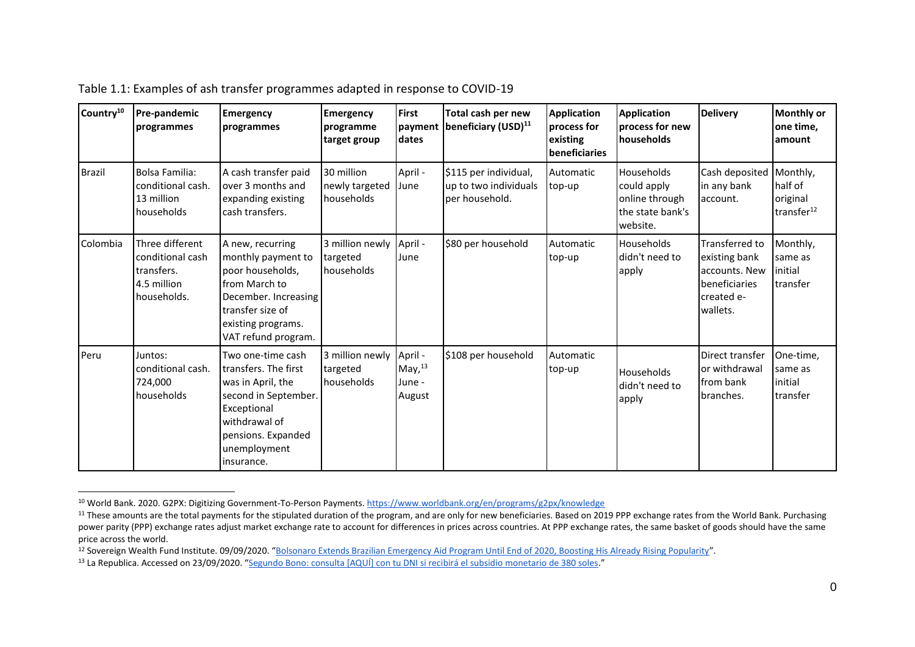| Country <sup>10</sup> | <b>Pre-pandemic</b><br>programmes                                               | <b>Emergency</b><br>programmes                                                                                                                                               | <b>Emergency</b><br>programme<br>target group | <b>First</b><br>dates                       | Total cash per new<br>payment   beneficiary (USD) <sup>11</sup>  | <b>Application</b><br>process for<br>existing<br>beneficiaries | <b>Application</b><br>process for new<br><b>Inouseholds</b>                 | <b>Delivery</b>                                                                             | <b>Monthly or</b><br>one time,<br>amount                  |
|-----------------------|---------------------------------------------------------------------------------|------------------------------------------------------------------------------------------------------------------------------------------------------------------------------|-----------------------------------------------|---------------------------------------------|------------------------------------------------------------------|----------------------------------------------------------------|-----------------------------------------------------------------------------|---------------------------------------------------------------------------------------------|-----------------------------------------------------------|
| <b>Brazil</b>         | <b>Bolsa Familia:</b><br>conditional cash.<br>13 million<br>households          | A cash transfer paid<br>lover 3 months and<br>expanding existing<br>cash transfers.                                                                                          | 30 million<br>newly targeted<br>households    | April -<br>June                             | \$115 per individual,<br>up to two individuals<br>per household. | Automatic<br>top-up                                            | Households<br>could apply<br>online through<br>the state bank's<br>website. | Cash deposited<br>in any bank<br>account.                                                   | Monthly,<br>half of<br>original<br>transfer <sup>12</sup> |
| Colombia              | Three different<br>conditional cash<br>transfers.<br>4.5 million<br>households. | A new, recurring<br>monthly payment to<br>poor households,<br><b>Ifrom March to</b><br>December. Increasing<br>transfer size of<br>existing programs.<br>VAT refund program. | 3 million newly<br>targeted<br>households     | April -<br>June                             | \$80 per household                                               | Automatic<br>top-up                                            | Households<br>didn't need to<br>apply                                       | Transferred to<br>existing bank<br>accounts. New<br>beneficiaries<br>created e-<br>wallets. | Monthly,<br>same as<br>initial<br>transfer                |
| Peru                  | Juntos:<br>conditional cash.<br>724,000<br>households                           | Two one-time cash<br>transfers. The first<br>was in April, the<br>second in September.<br>Exceptional<br>withdrawal of<br>pensions. Expanded<br>unemployment<br>insurance.   | 3 million newly<br>targeted<br>households     | April -<br>May, $^{13}$<br>June -<br>August | \$108 per household                                              | Automatic<br>top-up                                            | <b>Households</b><br>didn't need to<br>apply                                | Direct transfer<br>or withdrawal<br><b>from bank</b><br>branches.                           | One-time,<br>same as<br>initial<br>transfer               |

Table 1.1: Examples of ash transfer programmes adapted in response to COVID-19

<span id="page-26-0"></span><sup>10</sup> World Bank. 2020. G2PX: Digitizing Government-To-Person Payments.<https://www.worldbank.org/en/programs/g2px/knowledge>

<sup>&</sup>lt;sup>11</sup> These amounts are the total payments for the stipulated duration of the program, and are only for new beneficiaries. Based on 2019 PPP exchange rates from the World Bank. Purchasing power parity (PPP) exchange rates adjust market exchange rate to account for differences in prices across countries. At PPP exchange rates, the same basket of goods should have the same price across the world.

<sup>&</sup>lt;sup>12</sup> Sovereign Wealth Fund Institute. 09/09/2020. "[Bolsonaro Extends Brazilian Emergency Aid Program Until End of 2020, Boosting His Already Rising Popularity](https://www.swfinstitute.org/news/81407/bolsonaro-extends-brazilian-emergency-aid-program-until-end-of-2020-boosting-his-already-rising-popularity)".

<sup>13</sup> La Republica. Accessed on 23/09/2020. "[Segundo Bono: consulta \[AQUÍ\] con tu DNI si recibirá el subsidio monetario de 380 soles](https://larepublica.pe/economia/2020/05/30/yo-me-quedo-en-casa-pe-bono-380-soles-quedate-en-casa-segunda-entrega-consulta-con-dni-beneficiarios-como-donde-cobrar-bonos-del-estado-peruano-2020-link-midisgobpe-yomequedoencasape-atmp/)."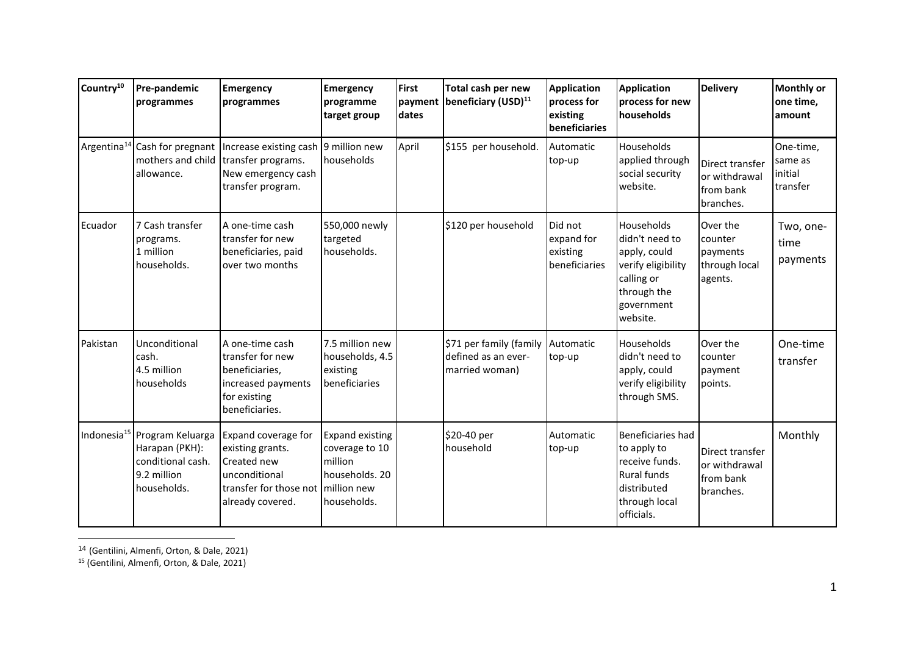| Country <sup>10</sup>   | Pre-pandemic<br>programmes                                                                                    | <b>Emergency</b><br>programmes                                                                                        | <b>Emergency</b><br>programme<br>target group                                                | <b>First</b><br>dates | Total cash per new<br>payment beneficiary (USD) <sup>11</sup>    | Application<br>process for<br>existing<br>beneficiaries | <b>Application</b><br>process for new<br>households                                                                       | <b>Delivery</b>                                             | <b>Monthly or</b><br>one time,<br>amount    |
|-------------------------|---------------------------------------------------------------------------------------------------------------|-----------------------------------------------------------------------------------------------------------------------|----------------------------------------------------------------------------------------------|-----------------------|------------------------------------------------------------------|---------------------------------------------------------|---------------------------------------------------------------------------------------------------------------------------|-------------------------------------------------------------|---------------------------------------------|
| Argentina <sup>14</sup> | Cash for pregnant<br>mothers and child<br>allowance.                                                          | Increase existing cash 9 million new<br>transfer programs.<br>New emergency cash<br>transfer program.                 | households                                                                                   | April                 | \$155 per household.                                             | Automatic<br>top-up                                     | Households<br>applied through<br>social security<br>website.                                                              | Direct transfer<br>or withdrawal<br>from bank<br>branches.  | One-time,<br>same as<br>initial<br>transfer |
| Ecuador                 | 7 Cash transfer<br>programs.<br>1 million<br>households.                                                      | A one-time cash<br>transfer for new<br>beneficiaries, paid<br>over two months                                         | 550,000 newly<br>targeted<br>households.                                                     |                       | \$120 per household                                              | Did not<br>expand for<br>existing<br>beneficiaries      | Households<br>didn't need to<br>apply, could<br>verify eligibility<br>calling or<br>through the<br>government<br>website. | Over the<br>counter<br>payments<br>through local<br>agents. | Two, one-<br>time<br>payments               |
| Pakistan                | Unconditional<br>cash.<br>4.5 million<br>households                                                           | A one-time cash<br>transfer for new<br>beneficiaries,<br>increased payments<br>for existing<br>beneficiaries.         | 7.5 million new<br>households, 4.5<br>existing<br>beneficiaries                              |                       | \$71 per family (family<br>defined as an ever-<br>married woman) | Automatic<br>top-up                                     | Households<br>didn't need to<br>apply, could<br>verify eligibility<br>through SMS.                                        | Over the<br>counter<br>payment<br>points.                   | One-time<br>transfer                        |
|                         | Indonesia <sup>15</sup> Program Keluarga<br>Harapan (PKH):<br>conditional cash.<br>9.2 million<br>households. | Expand coverage for<br>existing grants.<br>Created new<br>unconditional<br>transfer for those not<br>already covered. | Expand existing<br>coverage to 10<br>million<br>households. 20<br>million new<br>households. |                       | \$20-40 per<br>household                                         | Automatic<br>top-up                                     | Beneficiaries had<br>to apply to<br>receive funds.<br><b>Rural funds</b><br>distributed<br>through local<br>officials.    | Direct transfer<br>or withdrawal<br>from bank<br>branches.  | Monthly                                     |

<sup>14</sup> (Gentilini, Almenfi, Orton, & Dale, 2021)

<sup>15</sup> (Gentilini, Almenfi, Orton, & Dale, 2021)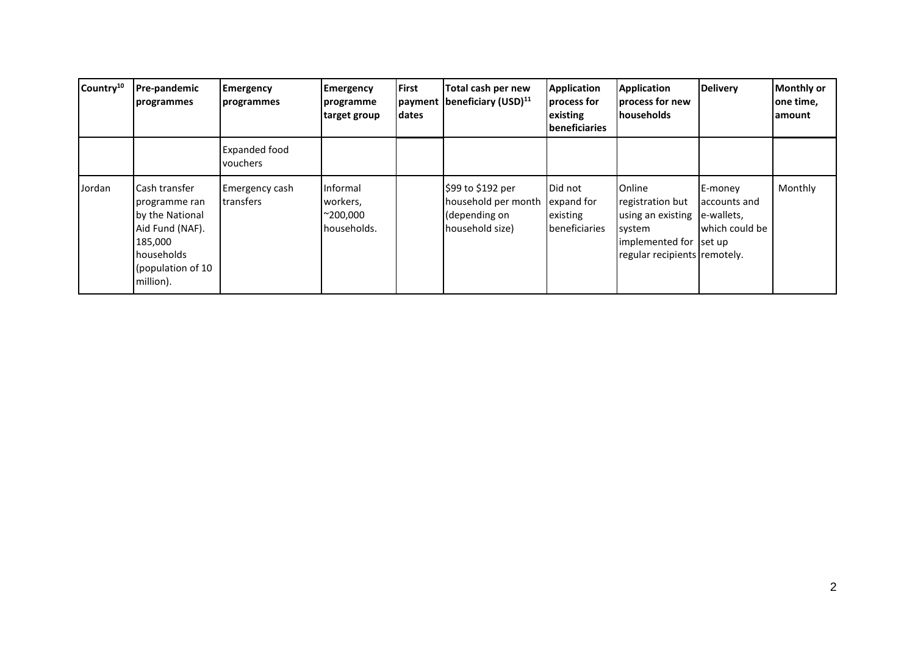| Country <sup>10</sup> | <b>Pre-pandemic</b><br>programmes                                                                                                | <b>Emergency</b><br>programmes   | <b>Emergency</b><br>programme<br>target group           | <b>First</b><br>dates | Total cash per new<br>payment beneficiary (USD) <sup>11</sup>                | <b>Application</b><br>process for<br>existing<br><b>beneficiaries</b> | <b>Application</b><br>process for new<br><b>Inouseholds</b>                                                                 | <b>Delivery</b>                                         | <b>Monthly or</b><br>one time,<br>lamount |
|-----------------------|----------------------------------------------------------------------------------------------------------------------------------|----------------------------------|---------------------------------------------------------|-----------------------|------------------------------------------------------------------------------|-----------------------------------------------------------------------|-----------------------------------------------------------------------------------------------------------------------------|---------------------------------------------------------|-------------------------------------------|
|                       |                                                                                                                                  | <b>Expanded food</b><br>vouchers |                                                         |                       |                                                                              |                                                                       |                                                                                                                             |                                                         |                                           |
| Jordan                | Cash transfer<br>programme ran<br>by the National<br>Aid Fund (NAF).<br>185,000<br>households<br>(population of 10)<br>million). | Emergency cash<br>transfers      | Informal<br>workers,<br>$^{\sim}200,000$<br>households. |                       | \$99 to \$192 per<br>household per month<br>(depending on<br>household size) | Did not<br>expand for<br>existing<br>beneficiaries                    | <b>Online</b><br>registration but<br>using an existing<br>system<br>implemented for Iset up<br>regular recipients remotely. | E-money<br>accounts and<br>e-wallets,<br>which could be | Monthly                                   |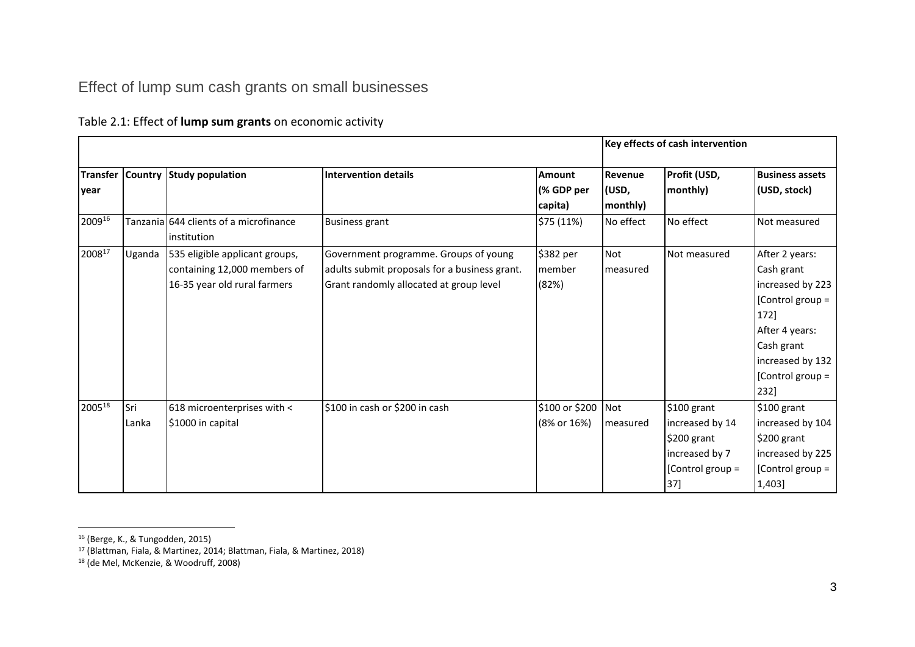## Effect of lump sum cash grants on small businesses

#### Table 2.1: Effect of **lump sum grants** on economic activity

|                         |              |                                                                                                |                                                                                                                                   |                                        |                              | Key effects of cash intervention                                                           |                                                                                                                                                              |
|-------------------------|--------------|------------------------------------------------------------------------------------------------|-----------------------------------------------------------------------------------------------------------------------------------|----------------------------------------|------------------------------|--------------------------------------------------------------------------------------------|--------------------------------------------------------------------------------------------------------------------------------------------------------------|
| <b>Transfer</b><br>year |              | Country Study population                                                                       | <b>Intervention details</b>                                                                                                       | <b>Amount</b><br>(% GDP per<br>capita) | Revenue<br>(USD,<br>monthly) | Profit (USD,<br>monthly)                                                                   | <b>Business assets</b><br>(USD, stock)                                                                                                                       |
| 200916                  |              | Tanzania 644 clients of a microfinance<br>linstitution                                         | <b>Business grant</b>                                                                                                             | \$75 (11%)                             | No effect                    | No effect                                                                                  | Not measured                                                                                                                                                 |
| 200817                  | Uganda       | 535 eligible applicant groups,<br>containing 12,000 members of<br>16-35 year old rural farmers | Government programme. Groups of young<br>adults submit proposals for a business grant.<br>Grant randomly allocated at group level | \$382 per<br>member<br>(82%)           | <b>Not</b><br>measured       | Not measured                                                                               | After 2 years:<br>Cash grant<br>increased by 223<br>[Control group =<br>172]<br>After 4 years:<br>Cash grant<br>increased by 132<br>[Control group =<br>232] |
| $2005^{18}$             | Sri<br>Lanka | 618 microenterprises with <<br>\$1000 in capital                                               | \$100 in cash or \$200 in cash                                                                                                    | \$100 or \$200<br>(8% or 16%)          | Not<br>measured              | \$100 grant<br>increased by 14<br>\$200 grant<br>increased by 7<br>[Control group =<br>37] | \$100 grant<br>increased by 104<br>\$200 grant<br>increased by 225<br>[Control group =<br>1,403]                                                             |

<span id="page-29-0"></span><sup>16</sup> (Berge, K., & Tungodden, 2015)

<sup>17</sup> (Blattman, Fiala, & Martinez, 2014; Blattman, Fiala, & Martinez, 2018)

<sup>18</sup> (de Mel, McKenzie, & Woodruff, 2008)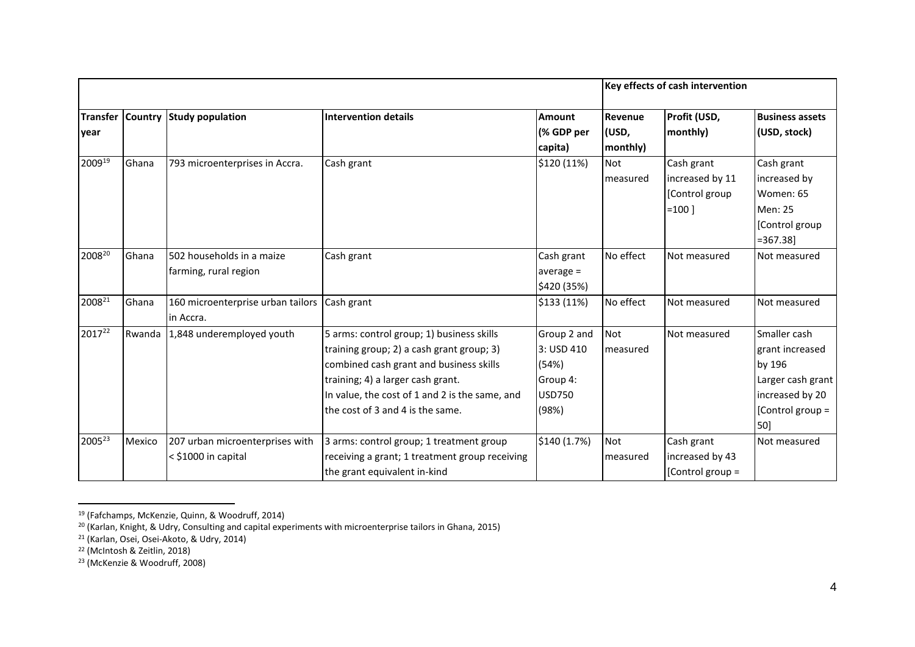|                         |        |                                                          |                                                                                                                                                                                                                                                              |                                                                          |                              | Key effects of cash intervention                            |                                                                                                              |
|-------------------------|--------|----------------------------------------------------------|--------------------------------------------------------------------------------------------------------------------------------------------------------------------------------------------------------------------------------------------------------------|--------------------------------------------------------------------------|------------------------------|-------------------------------------------------------------|--------------------------------------------------------------------------------------------------------------|
| <b>Transfer</b><br>year |        | Country Study population                                 | <b>Intervention details</b>                                                                                                                                                                                                                                  | <b>Amount</b><br>(% GDP per<br>capita)                                   | Revenue<br>(USD,<br>monthly) | Profit (USD,<br>monthly)                                    | <b>Business assets</b><br>(USD, stock)                                                                       |
| 200919                  | Ghana  | 793 microenterprises in Accra.                           | Cash grant                                                                                                                                                                                                                                                   | \$120 (11%)                                                              | Not<br>  measured            | Cash grant<br>increased by 11<br>[Control group<br>$=100$ ] | Cash grant<br>increased by<br>Women: 65<br>Men: 25<br>[Control group]<br>$= 367.38$                          |
| 200820                  | Ghana  | 502 households in a maize<br>farming, rural region       | Cash grant                                                                                                                                                                                                                                                   | Cash grant<br>average $=$<br>\$420 (35%)                                 | No effect                    | Not measured                                                | Not measured                                                                                                 |
| 2008 <sup>21</sup>      | Ghana  | 160 microenterprise urban tailors<br>in Accra.           | Cash grant                                                                                                                                                                                                                                                   | \$133 (11%)                                                              | No effect                    | Not measured                                                | Not measured                                                                                                 |
| 2017 <sup>22</sup>      | Rwanda | 1,848 underemployed youth                                | 5 arms: control group; 1) business skills<br>training group; 2) a cash grant group; 3)<br>combined cash grant and business skills<br>training; 4) a larger cash grant.<br>In value, the cost of 1 and 2 is the same, and<br>the cost of 3 and 4 is the same. | Group 2 and<br>3: USD 410<br>(54%)<br>Group 4:<br><b>USD750</b><br>(98%) | Not<br>measured              | Not measured                                                | Smaller cash<br>grant increased<br>by 196<br>Larger cash grant<br>increased by 20<br>[Control group =<br>50] |
| 2005 <sup>23</sup>      | Mexico | 207 urban microenterprises with<br>$<$ \$1000 in capital | 3 arms: control group; 1 treatment group<br>receiving a grant; 1 treatment group receiving<br>the grant equivalent in-kind                                                                                                                                   | \$140 (1.7%)                                                             | <b>Not</b><br>measured       | Cash grant<br>increased by 43<br>Control group =            | Not measured                                                                                                 |

<sup>19</sup> (Fafchamps, McKenzie, Quinn, & Woodruff, 2014)

<sup>&</sup>lt;sup>20</sup> (Karlan, Knight, & Udry, Consulting and capital experiments with microenterprise tailors in Ghana, 2015)

<sup>21</sup> (Karlan, Osei, Osei-Akoto, & Udry, 2014)

<sup>22</sup> (McIntosh & Zeitlin, 2018)

<sup>23</sup> (McKenzie & Woodruff, 2008)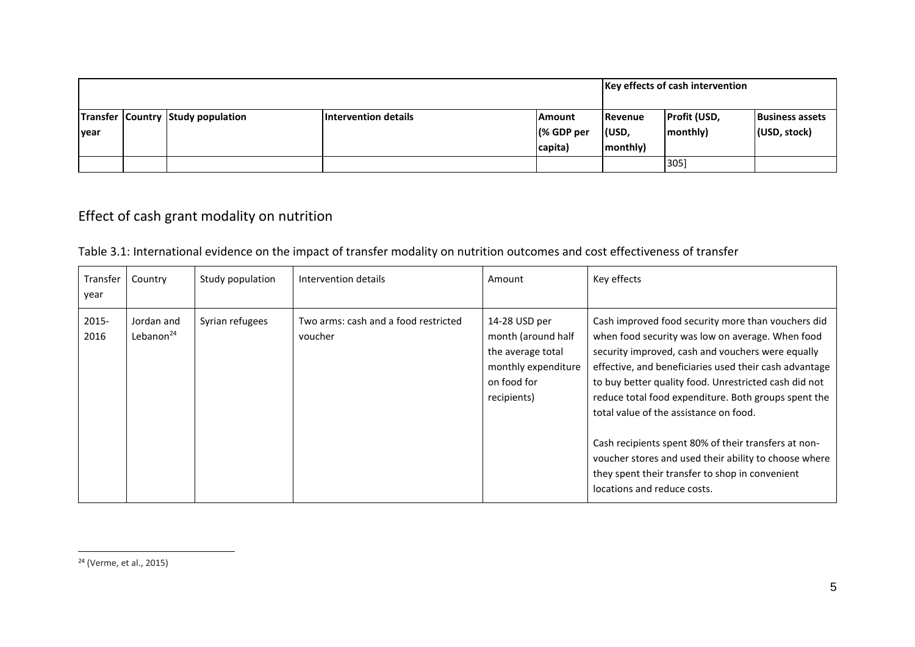|       |  |                                   |                             |               | <b>Key effects of cash intervention</b> |                     |                        |
|-------|--|-----------------------------------|-----------------------------|---------------|-----------------------------------------|---------------------|------------------------|
|       |  | Transfer Country Study population | <b>Intervention details</b> | <b>Amount</b> | Revenue                                 | <b>Profit (USD,</b> | <b>Business assets</b> |
| lyear |  |                                   |                             | (% GDP per    | l(USD,                                  | monthly)            | (USD, stock)           |
|       |  |                                   |                             | capita)       | monthly)                                |                     |                        |
|       |  |                                   |                             |               |                                         | 305]                |                        |

## Effect of cash grant modality on nutrition

| Transfer<br>year | Country                    | Study population | Intervention details                            | Amount                                                                                                        | Key effects                                                                                                                                                                                                                                                                                                                                                                                                                                                                                                                                                                         |
|------------------|----------------------------|------------------|-------------------------------------------------|---------------------------------------------------------------------------------------------------------------|-------------------------------------------------------------------------------------------------------------------------------------------------------------------------------------------------------------------------------------------------------------------------------------------------------------------------------------------------------------------------------------------------------------------------------------------------------------------------------------------------------------------------------------------------------------------------------------|
| 2015-<br>2016    | Jordan and<br>Lebanon $24$ | Syrian refugees  | Two arms: cash and a food restricted<br>voucher | 14-28 USD per<br>month (around half<br>the average total<br>monthly expenditure<br>on food for<br>recipients) | Cash improved food security more than vouchers did<br>when food security was low on average. When food<br>security improved, cash and vouchers were equally<br>effective, and beneficiaries used their cash advantage<br>to buy better quality food. Unrestricted cash did not<br>reduce total food expenditure. Both groups spent the<br>total value of the assistance on food.<br>Cash recipients spent 80% of their transfers at non-<br>voucher stores and used their ability to choose where<br>they spent their transfer to shop in convenient<br>locations and reduce costs. |

Table 3.1: International evidence on the impact of transfer modality on nutrition outcomes and cost effectiveness of transfer

<span id="page-31-0"></span><sup>24</sup> (Verme, et al., 2015)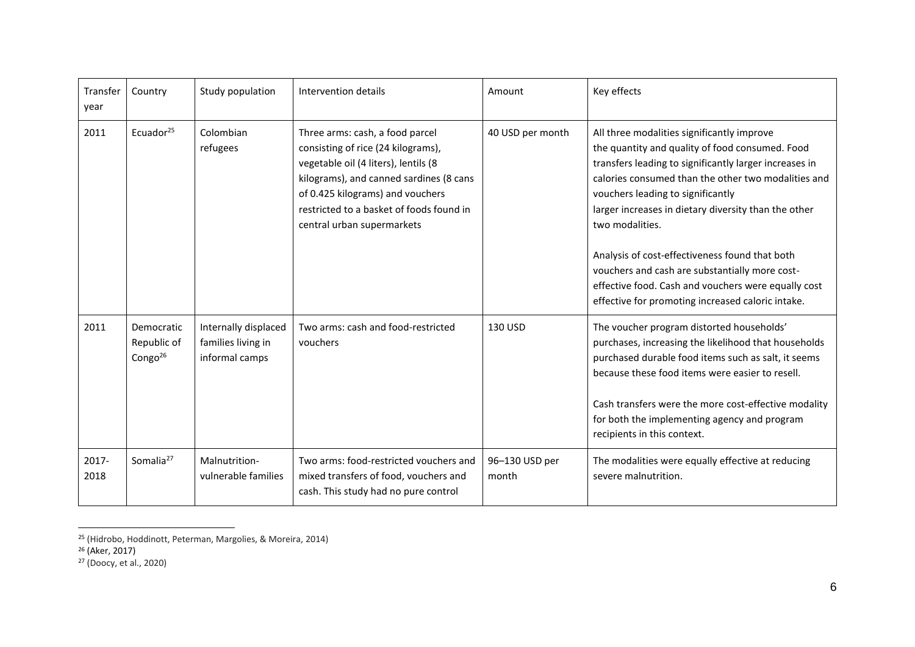| Transfer<br>year | Country                                    | Study population                                             | Intervention details                                                                                                                                                                                                                                                   | Amount                  | Key effects                                                                                                                                                                                                                                                                                                                                                                                                                                                                                                                                    |
|------------------|--------------------------------------------|--------------------------------------------------------------|------------------------------------------------------------------------------------------------------------------------------------------------------------------------------------------------------------------------------------------------------------------------|-------------------------|------------------------------------------------------------------------------------------------------------------------------------------------------------------------------------------------------------------------------------------------------------------------------------------------------------------------------------------------------------------------------------------------------------------------------------------------------------------------------------------------------------------------------------------------|
| 2011             | Ecuador <sup>25</sup>                      | Colombian<br>refugees                                        | Three arms: cash, a food parcel<br>consisting of rice (24 kilograms),<br>vegetable oil (4 liters), lentils (8<br>kilograms), and canned sardines (8 cans<br>of 0.425 kilograms) and vouchers<br>restricted to a basket of foods found in<br>central urban supermarkets | 40 USD per month        | All three modalities significantly improve<br>the quantity and quality of food consumed. Food<br>transfers leading to significantly larger increases in<br>calories consumed than the other two modalities and<br>vouchers leading to significantly<br>larger increases in dietary diversity than the other<br>two modalities.<br>Analysis of cost-effectiveness found that both<br>vouchers and cash are substantially more cost-<br>effective food. Cash and vouchers were equally cost<br>effective for promoting increased caloric intake. |
| 2011             | Democratic<br>Republic of<br>Congo $^{26}$ | Internally displaced<br>families living in<br>informal camps | Two arms: cash and food-restricted<br>vouchers                                                                                                                                                                                                                         | 130 USD                 | The voucher program distorted households'<br>purchases, increasing the likelihood that households<br>purchased durable food items such as salt, it seems<br>because these food items were easier to resell.<br>Cash transfers were the more cost-effective modality<br>for both the implementing agency and program<br>recipients in this context.                                                                                                                                                                                             |
| 2017-<br>2018    | Somalia <sup>27</sup>                      | Malnutrition-<br>vulnerable families                         | Two arms: food-restricted vouchers and<br>mixed transfers of food, vouchers and<br>cash. This study had no pure control                                                                                                                                                | 96-130 USD per<br>month | The modalities were equally effective at reducing<br>severe malnutrition.                                                                                                                                                                                                                                                                                                                                                                                                                                                                      |

<sup>25</sup> (Hidrobo, Hoddinott, Peterman, Margolies, & Moreira, 2014)

 $26$  (Aker, 2017)

<sup>27</sup> (Doocy, et al., 2020)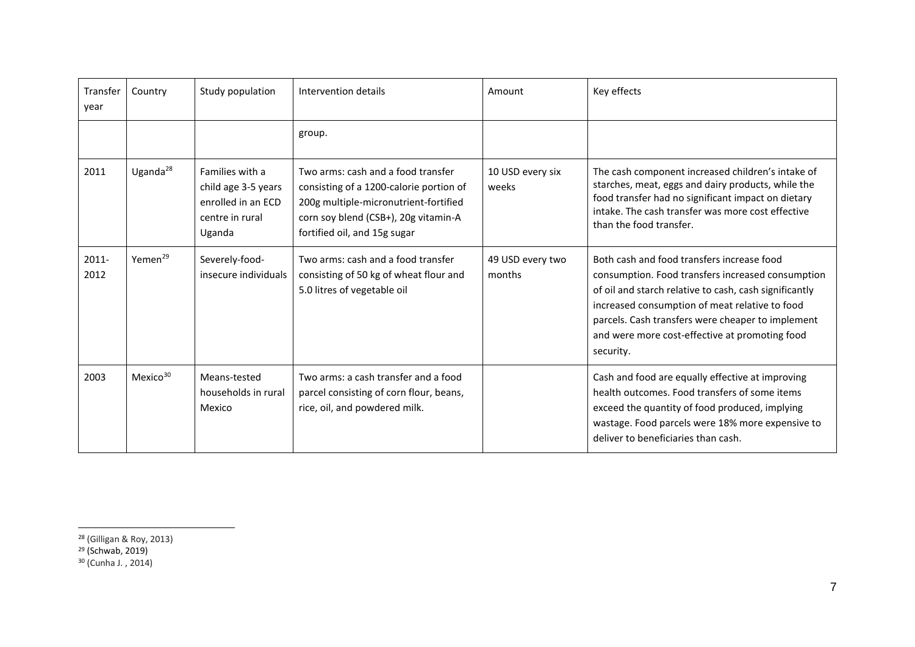| Transfer<br>year | Country              | Study population                                                                          | Intervention details                                                                                                                                                                           | Amount                     | Key effects                                                                                                                                                                                                                                                                                                                     |
|------------------|----------------------|-------------------------------------------------------------------------------------------|------------------------------------------------------------------------------------------------------------------------------------------------------------------------------------------------|----------------------------|---------------------------------------------------------------------------------------------------------------------------------------------------------------------------------------------------------------------------------------------------------------------------------------------------------------------------------|
|                  |                      |                                                                                           | group.                                                                                                                                                                                         |                            |                                                                                                                                                                                                                                                                                                                                 |
| 2011             | Uganda $^{28}$       | Families with a<br>child age 3-5 years<br>enrolled in an ECD<br>centre in rural<br>Uganda | Two arms: cash and a food transfer<br>consisting of a 1200-calorie portion of<br>200g multiple-micronutrient-fortified<br>corn soy blend (CSB+), 20g vitamin-A<br>fortified oil, and 15g sugar | 10 USD every six<br>weeks  | The cash component increased children's intake of<br>starches, meat, eggs and dairy products, while the<br>food transfer had no significant impact on dietary<br>intake. The cash transfer was more cost effective<br>than the food transfer.                                                                                   |
| $2011 -$<br>2012 | Yemen <sup>29</sup>  | Severely-food-<br>insecure individuals                                                    | Two arms: cash and a food transfer<br>consisting of 50 kg of wheat flour and<br>5.0 litres of vegetable oil                                                                                    | 49 USD every two<br>months | Both cash and food transfers increase food<br>consumption. Food transfers increased consumption<br>of oil and starch relative to cash, cash significantly<br>increased consumption of meat relative to food<br>parcels. Cash transfers were cheaper to implement<br>and were more cost-effective at promoting food<br>security. |
| 2003             | Mexico <sup>30</sup> | Means-tested<br>households in rural<br>Mexico                                             | Two arms: a cash transfer and a food<br>parcel consisting of corn flour, beans,<br>rice, oil, and powdered milk.                                                                               |                            | Cash and food are equally effective at improving<br>health outcomes. Food transfers of some items<br>exceed the quantity of food produced, implying<br>wastage. Food parcels were 18% more expensive to<br>deliver to beneficiaries than cash.                                                                                  |

<sup>29</sup> (Schwab, 2019)

<sup>28</sup> (Gilligan & Roy, 2013)

<sup>30</sup> (Cunha J. , 2014)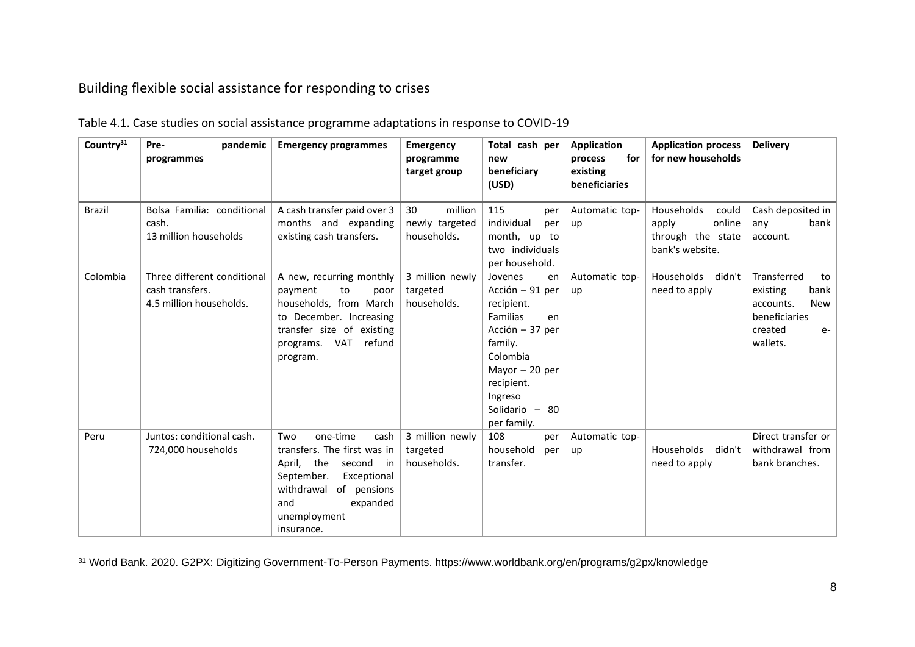## Building flexible social assistance for responding to crises

| Country <sup>31</sup> | pandemic<br>Pre-<br>programmes                                            | <b>Emergency programmes</b>                                                                                                                                                                          | <b>Emergency</b><br>programme<br>target group  | Total cash per<br>new<br>beneficiary<br>(USD)                                                                                                                                           | <b>Application</b><br>for<br>process<br>existing<br><b>beneficiaries</b> | <b>Application process</b><br>for new households                               | <b>Delivery</b>                                                                                           |
|-----------------------|---------------------------------------------------------------------------|------------------------------------------------------------------------------------------------------------------------------------------------------------------------------------------------------|------------------------------------------------|-----------------------------------------------------------------------------------------------------------------------------------------------------------------------------------------|--------------------------------------------------------------------------|--------------------------------------------------------------------------------|-----------------------------------------------------------------------------------------------------------|
| <b>Brazil</b>         | Bolsa Familia: conditional<br>cash.<br>13 million households              | A cash transfer paid over 3<br>months and expanding<br>existing cash transfers.                                                                                                                      | million<br>30<br>newly targeted<br>households. | 115<br>per<br>individual<br>per<br>month, up to<br>two individuals<br>per household.                                                                                                    | Automatic top-<br>up                                                     | Households<br>could<br>online<br>apply<br>through the state<br>bank's website. | Cash deposited in<br>bank<br>any<br>account.                                                              |
| Colombia              | Three different conditional<br>cash transfers.<br>4.5 million households. | A new, recurring monthly<br>payment<br>to<br>poor<br>households, from March<br>to December. Increasing<br>transfer size of existing<br>VAT refund<br>programs.<br>program.                           | 3 million newly<br>targeted<br>households.     | Jovenes<br>en<br>Acción – 91 per<br>recipient.<br>Familias<br>en<br>Acción - 37 per<br>family.<br>Colombia<br>Mayor $-20$ per<br>recipient.<br>Ingreso<br>Solidario - 80<br>per family. | Automatic top-<br>up                                                     | Households<br>didn't<br>need to apply                                          | Transferred<br>to<br>bank<br>existing<br>New<br>accounts.<br>beneficiaries<br>created<br>$e-$<br>wallets. |
| Peru                  | Juntos: conditional cash.<br>724,000 households                           | one-time<br>Two<br>cash<br>transfers. The first was in<br>April,<br>the<br>second<br>in i<br>September.<br>Exceptional<br>withdrawal<br>of pensions<br>and<br>expanded<br>unemployment<br>insurance. | 3 million newly<br>targeted<br>households.     | 108<br>per<br>household<br>per<br>transfer.                                                                                                                                             | Automatic top-<br>up                                                     | Households<br>didn't<br>need to apply                                          | Direct transfer or<br>withdrawal from<br>bank branches.                                                   |

Table 4.1. Case studies on social assistance programme adaptations in response to COVID-19

<span id="page-34-1"></span><span id="page-34-0"></span><sup>31</sup> World Bank. 2020. G2PX: Digitizing Government-To-Person Payments. https://www.worldbank.org/en/programs/g2px/knowledge